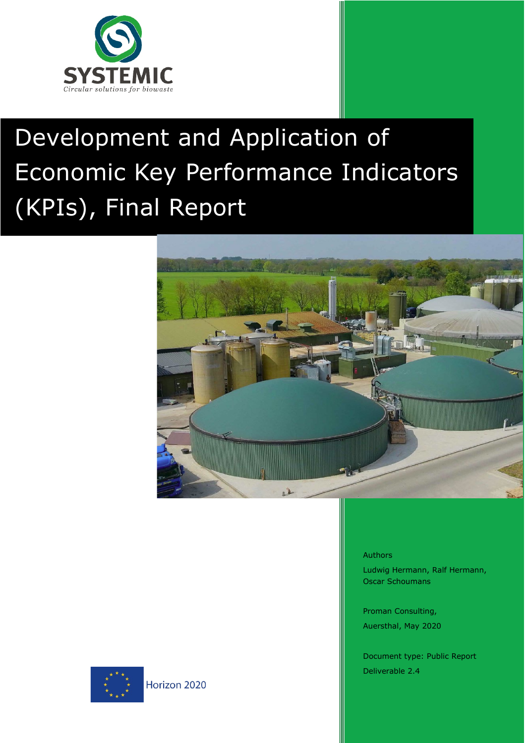

# n of Development and Application of Economic Key Performance Indicators (KPIs), Final Report





Ludwig Hermann, Ralf Hermann, Oscar Schoumans

Proman Consulting, Auersthal, May 2020

Document type: Public Report Deliverable 2.4

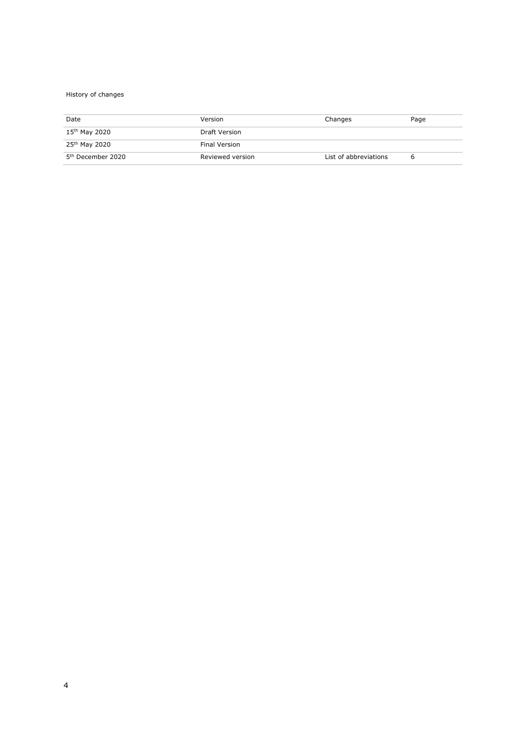#### History of changes

| Date                          | Version          | Changes               | Page |
|-------------------------------|------------------|-----------------------|------|
| 15 <sup>th</sup> May 2020     | Draft Version    |                       |      |
| 25 <sup>th</sup> May 2020     | Final Version    |                       |      |
| 5 <sup>th</sup> December 2020 | Reviewed version | List of abbreviations | ь    |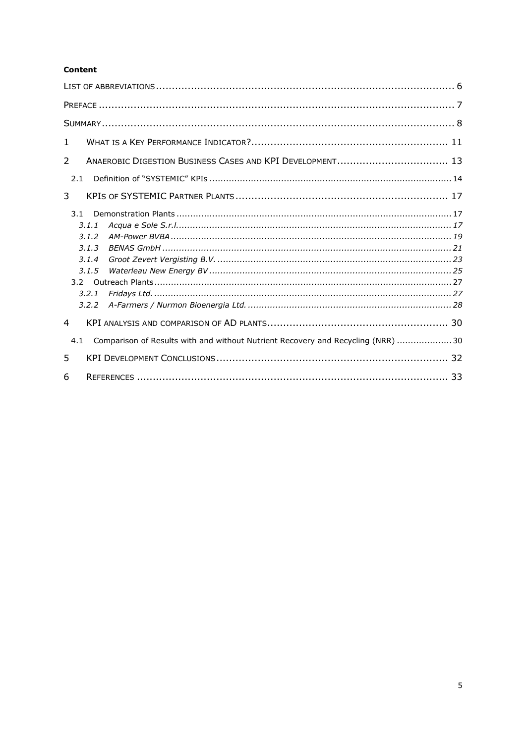#### **Content**

| $\mathbf{1}$                                                                           |  |
|----------------------------------------------------------------------------------------|--|
| ANAEROBIC DIGESTION BUSINESS CASES AND KPI DEVELOPMENT 13<br>2                         |  |
| 2.1                                                                                    |  |
| 3                                                                                      |  |
| 3.1<br>3.1.1<br>3.1.2                                                                  |  |
| 3.1.3<br>3.1.4                                                                         |  |
| 3.1.5<br>3.2.1<br>3.2.2                                                                |  |
| $\overline{a}$                                                                         |  |
| Comparison of Results with and without Nutrient Recovery and Recycling (NRR) 30<br>4.1 |  |
| 5                                                                                      |  |
| 6                                                                                      |  |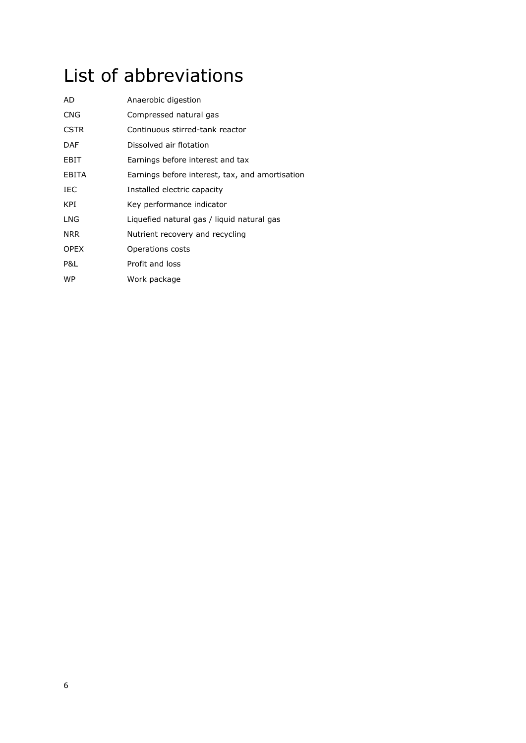# <span id="page-5-0"></span>List of abbreviations

| AD           | Anaerobic digestion                             |
|--------------|-------------------------------------------------|
| <b>CNG</b>   | Compressed natural gas                          |
| <b>CSTR</b>  | Continuous stirred-tank reactor                 |
| <b>DAF</b>   | Dissolved air flotation                         |
| EBIT         | Earnings before interest and tax                |
| <b>EBITA</b> | Earnings before interest, tax, and amortisation |
| IEC          | Installed electric capacity                     |
| KPI          | Key performance indicator                       |
| LNG          | Liquefied natural gas / liquid natural gas      |
| <b>NRR</b>   | Nutrient recovery and recycling                 |
| <b>OPEX</b>  | Operations costs                                |
| P&L          | Profit and loss                                 |
| WP           | Work package                                    |
|              |                                                 |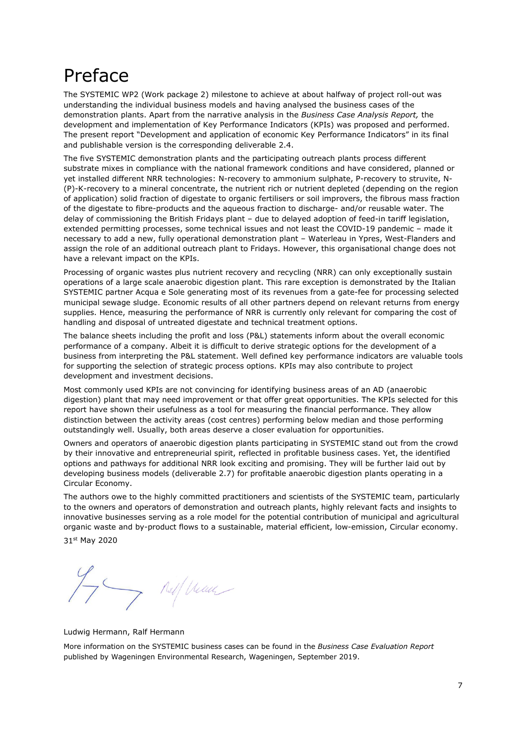## <span id="page-6-0"></span>Preface

The SYSTEMIC WP2 (Work package 2) milestone to achieve at about halfway of project roll-out was understanding the individual business models and having analysed the business cases of the demonstration plants. Apart from the narrative analysis in the *Business Case Analysis Report,* the development and implementation of Key Performance Indicators (KPIs) was proposed and performed. The present report "Development and application of economic Key Performance Indicators" in its final and publishable version is the corresponding deliverable 2.4.

The five SYSTEMIC demonstration plants and the participating outreach plants process different substrate mixes in compliance with the national framework conditions and have considered, planned or yet installed different NRR technologies: N-recovery to ammonium sulphate, P-recovery to struvite, N- (P)-K-recovery to a mineral concentrate, the nutrient rich or nutrient depleted (depending on the region of application) solid fraction of digestate to organic fertilisers or soil improvers, the fibrous mass fraction of the digestate to fibre-products and the aqueous fraction to discharge- and/or reusable water. The delay of commissioning the British Fridays plant – due to delayed adoption of feed-in tariff legislation, extended permitting processes, some technical issues and not least the COVID-19 pandemic – made it necessary to add a new, fully operational demonstration plant – Waterleau in Ypres, West-Flanders and assign the role of an additional outreach plant to Fridays. However, this organisational change does not have a relevant impact on the KPIs.

Processing of organic wastes plus nutrient recovery and recycling (NRR) can only exceptionally sustain operations of a large scale anaerobic digestion plant. This rare exception is demonstrated by the Italian SYSTEMIC partner Acqua e Sole generating most of its revenues from a gate-fee for processing selected municipal sewage sludge. Economic results of all other partners depend on relevant returns from energy supplies. Hence, measuring the performance of NRR is currently only relevant for comparing the cost of handling and disposal of untreated digestate and technical treatment options.

The balance sheets including the profit and loss (P&L) statements inform about the overall economic performance of a company. Albeit it is difficult to derive strategic options for the development of a business from interpreting the P&L statement. Well defined key performance indicators are valuable tools for supporting the selection of strategic process options. KPIs may also contribute to project development and investment decisions.

Most commonly used KPIs are not convincing for identifying business areas of an AD (anaerobic digestion) plant that may need improvement or that offer great opportunities. The KPIs selected for this report have shown their usefulness as a tool for measuring the financial performance. They allow distinction between the activity areas (cost centres) performing below median and those performing outstandingly well. Usually, both areas deserve a closer evaluation for opportunities.

Owners and operators of anaerobic digestion plants participating in SYSTEMIC stand out from the crowd by their innovative and entrepreneurial spirit, reflected in profitable business cases. Yet, the identified options and pathways for additional NRR look exciting and promising. They will be further laid out by developing business models (deliverable 2.7) for profitable anaerobic digestion plants operating in a Circular Economy.

The authors owe to the highly committed practitioners and scientists of the SYSTEMIC team, particularly to the owners and operators of demonstration and outreach plants, highly relevant facts and insights to innovative businesses serving as a role model for the potential contribution of municipal and agricultural organic waste and by-product flows to a sustainable, material efficient, low-emission, Circular economy. 31st May 2020

If any new

Ludwig Hermann, Ralf Hermann

More information on the SYSTEMIC business cases can be found in the *Business Case Evaluation Report* published by Wageningen Environmental Research, Wageningen, September 2019.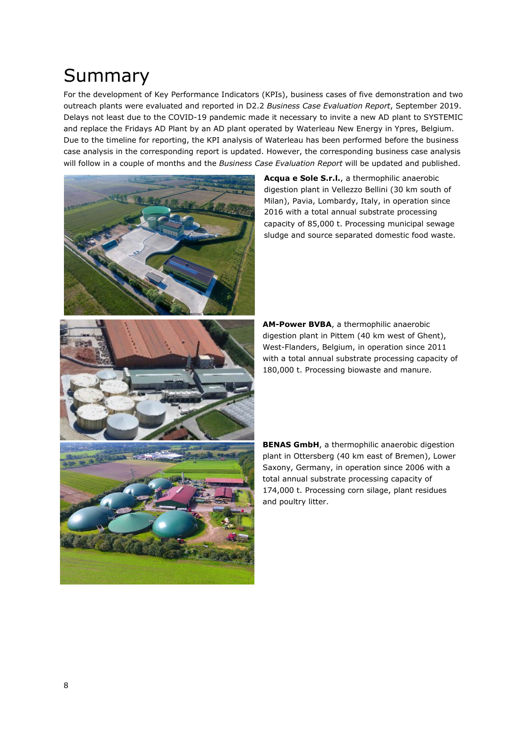## <span id="page-7-0"></span>Summary

For the development of Key Performance Indicators (KPIs), business cases of five demonstration and two outreach plants were evaluated and reported in D2.2 *Business Case Evaluation Report*, September 2019. Delays not least due to the COVID-19 pandemic made it necessary to invite a new AD plant to SYSTEMIC and replace the Fridays AD Plant by an AD plant operated by Waterleau New Energy in Ypres, Belgium. Due to the timeline for reporting, the KPI analysis of Waterleau has been performed before the business case analysis in the corresponding report is updated. However, the corresponding business case analysis will follow in a couple of months and the *Business Case Evaluation Report* will be updated and published.

> Milan), Pavia, Lombardy, Italy, in operation since 2016 with a total annual substrate processing capacity of 85,000 t. Processing municipal sewage sludge and source separated domestic food waste.

**Acqua e Sole S.r.l.**, a thermophilic anaerobic digestion plant in Vellezzo Bellini (30 km south of

**AM-Power BVBA**, a thermophilic anaerobic digestion plant in Pittem (40 km west of Ghent), West-Flanders, Belgium, in operation since 2011 with a total annual substrate processing capacity of 180,000 t. Processing biowaste and manure.

**BENAS GmbH**, a thermophilic anaerobic digestion plant in Ottersberg (40 km east of Bremen), Lower Saxony, Germany, in operation since 2006 with a total annual substrate processing capacity of 174,000 t. Processing corn silage, plant residues and poultry litter.

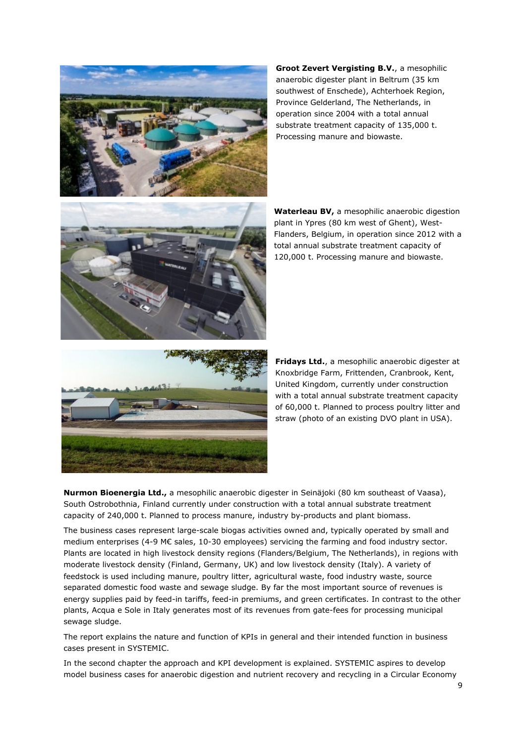

**Groot Zevert Vergisting B.V.**, a mesophilic anaerobic digester plant in Beltrum (35 km southwest of Enschede), Achterhoek Region, Province Gelderland, The Netherlands, in operation since 2004 with a total annual substrate treatment capacity of 135,000 t. Processing manure and biowaste.



**Waterleau BV,** a mesophilic anaerobic digestion plant in Ypres (80 km west of Ghent), West-Flanders, Belgium, in operation since 2012 with a total annual substrate treatment capacity of 120,000 t. Processing manure and biowaste.



**Fridays Ltd.**, a mesophilic anaerobic digester at Knoxbridge Farm, Frittenden, Cranbrook, Kent, United Kingdom, currently under construction with a total annual substrate treatment capacity of 60,000 t. Planned to process poultry litter and straw (photo of an existing DVO plant in USA).

**Nurmon Bioenergia Ltd.,** a mesophilic anaerobic digester in Seinäjoki (80 km southeast of Vaasa), South Ostrobothnia, Finland currently under construction with a total annual substrate treatment capacity of 240,000 t. Planned to process manure, industry by-products and plant biomass.

The business cases represent large-scale biogas activities owned and, typically operated by small and medium enterprises (4-9 M€ sales, 10-30 employees) servicing the farming and food industry sector. Plants are located in high livestock density regions (Flanders/Belgium, The Netherlands), in regions with moderate livestock density (Finland, Germany, UK) and low livestock density (Italy). A variety of feedstock is used including manure, poultry litter, agricultural waste, food industry waste, source separated domestic food waste and sewage sludge. By far the most important source of revenues is energy supplies paid by feed-in tariffs, feed-in premiums, and green certificates. In contrast to the other plants, Acqua e Sole in Italy generates most of its revenues from gate-fees for processing municipal sewage sludge.

The report explains the nature and function of KPIs in general and their intended function in business cases present in SYSTEMIC.

In the second chapter the approach and KPI development is explained. SYSTEMIC aspires to develop model business cases for anaerobic digestion and nutrient recovery and recycling in a Circular Economy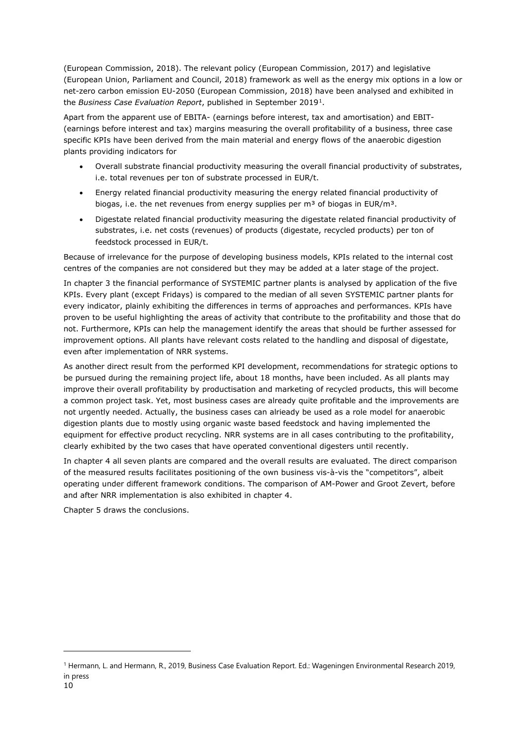(European Commission, 2018). The relevant policy (European Commission, 2017) and legislative (European Union, Parliament and Council, 2018) framework as well as the energy mix options in a low or net-zero carbon emission EU-2050 (European Commission, 2018) have been analysed and exhibited in the *Business Case Evaluation Report*, published in September 2019[1.](#page-9-0)

Apart from the apparent use of EBITA- (earnings before interest, tax and amortisation) and EBIT- (earnings before interest and tax) margins measuring the overall profitability of a business, three case specific KPIs have been derived from the main material and energy flows of the anaerobic digestion plants providing indicators for

- Overall substrate financial productivity measuring the overall financial productivity of substrates, i.e. total revenues per ton of substrate processed in EUR/t.
- Energy related financial productivity measuring the energy related financial productivity of biogas, i.e. the net revenues from energy supplies per  $m<sup>3</sup>$  of biogas in EUR/m<sup>3</sup>.
- Digestate related financial productivity measuring the digestate related financial productivity of substrates, i.e. net costs (revenues) of products (digestate, recycled products) per ton of feedstock processed in EUR/t.

Because of irrelevance for the purpose of developing business models, KPIs related to the internal cost centres of the companies are not considered but they may be added at a later stage of the project.

In chapter 3 the financial performance of SYSTEMIC partner plants is analysed by application of the five KPIs. Every plant (except Fridays) is compared to the median of all seven SYSTEMIC partner plants for every indicator, plainly exhibiting the differences in terms of approaches and performances. KPIs have proven to be useful highlighting the areas of activity that contribute to the profitability and those that do not. Furthermore, KPIs can help the management identify the areas that should be further assessed for improvement options. All plants have relevant costs related to the handling and disposal of digestate, even after implementation of NRR systems.

As another direct result from the performed KPI development, recommendations for strategic options to be pursued during the remaining project life, about 18 months, have been included. As all plants may improve their overall profitability by productisation and marketing of recycled products, this will become a common project task. Yet, most business cases are already quite profitable and the improvements are not urgently needed. Actually, the business cases can alrieady be used as a role model for anaerobic digestion plants due to mostly using organic waste based feedstock and having implemented the equipment for effective product recycling. NRR systems are in all cases contributing to the profitability, clearly exhibited by the two cases that have operated conventional digesters until recently.

In chapter 4 all seven plants are compared and the overall results are evaluated. The direct comparison of the measured results facilitates positioning of the own business vis-à-vis the "competitors", albeit operating under different framework conditions. The comparison of AM-Power and Groot Zevert, before and after NRR implementation is also exhibited in chapter 4.

Chapter 5 draws the conclusions.

<span id="page-9-0"></span><sup>1</sup> Hermann, L. and Hermann, R., 2019, Business Case Evaluation Report. Ed.: Wageningen Environmental Research 2019, in press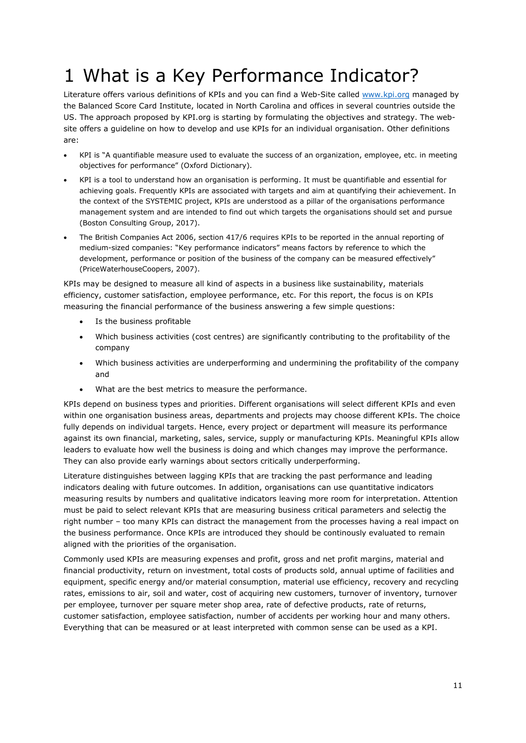# <span id="page-10-0"></span>1 What is a Key Performance Indicator?

Literature offers various definitions of KPIs and you can find a Web-Site called [www.kpi.org](http://www.kpi.org/) managed by the Balanced Score Card Institute, located in North Carolina and offices in several countries outside the US. The approach proposed by KPI.org is starting by formulating the objectives and strategy. The website offers a guideline on how to develop and use KPIs for an individual organisation. Other definitions are:

- KPI is "A quantifiable measure used to evaluate the success of an organization, employee, etc. in meeting objectives for performance" (Oxford Dictionary).
- KPI is a tool to understand how an organisation is performing. It must be quantifiable and essential for achieving goals. Frequently KPIs are associated with targets and aim at quantifying their achievement. In the context of the SYSTEMIC project, KPIs are understood as a pillar of the organisations performance management system and are intended to find out which targets the organisations should set and pursue (Boston Consulting Group, 2017).
- The British Companies Act 2006, section 417/6 requires KPIs to be reported in the annual reporting of medium-sized companies: "Key performance indicators" means factors by reference to which the development, performance or position of the business of the company can be measured effectively" (PriceWaterhouseCoopers, 2007).

KPIs may be designed to measure all kind of aspects in a business like sustainability, materials efficiency, customer satisfaction, employee performance, etc. For this report, the focus is on KPIs measuring the financial performance of the business answering a few simple questions:

- Is the business profitable
- Which business activities (cost centres) are significantly contributing to the profitability of the company
- Which business activities are underperforming and undermining the profitability of the company and
- What are the best metrics to measure the performance.

KPIs depend on business types and priorities. Different organisations will select different KPIs and even within one organisation business areas, departments and projects may choose different KPIs. The choice fully depends on individual targets. Hence, every project or department will measure its performance against its own financial, marketing, sales, service, supply or manufacturing KPIs. Meaningful KPIs allow leaders to evaluate how well the business is doing and which changes may improve the performance. They can also provide early warnings about sectors critically underperforming.

Literature distinguishes between lagging KPIs that are tracking the past performance and leading indicators dealing with future outcomes. In addition, organisations can use quantitative indicators measuring results by numbers and qualitative indicators leaving more room for interpretation. Attention must be paid to select relevant KPIs that are measuring business critical parameters and selectig the right number – too many KPIs can distract the management from the processes having a real impact on the business performance. Once KPIs are introduced they should be continously evaluated to remain aligned with the priorities of the organisation.

Commonly used KPIs are measuring expenses and profit, gross and net profit margins, material and financial productivity, return on investment, total costs of products sold, annual uptime of facilities and equipment, specific energy and/or material consumption, material use efficiency, recovery and recycling rates, emissions to air, soil and water, cost of acquiring new customers, turnover of inventory, turnover per employee, turnover per square meter shop area, rate of defective products, rate of returns, customer satisfaction, employee satisfaction, number of accidents per working hour and many others. Everything that can be measured or at least interpreted with common sense can be used as a KPI.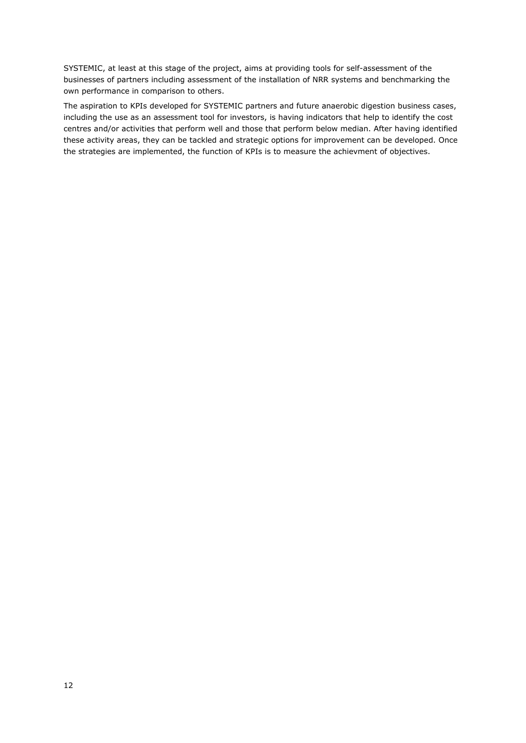SYSTEMIC, at least at this stage of the project, aims at providing tools for self-assessment of the businesses of partners including assessment of the installation of NRR systems and benchmarking the own performance in comparison to others.

The aspiration to KPIs developed for SYSTEMIC partners and future anaerobic digestion business cases, including the use as an assessment tool for investors, is having indicators that help to identify the cost centres and/or activities that perform well and those that perform below median. After having identified these activity areas, they can be tackled and strategic options for improvement can be developed. Once the strategies are implemented, the function of KPIs is to measure the achievment of objectives.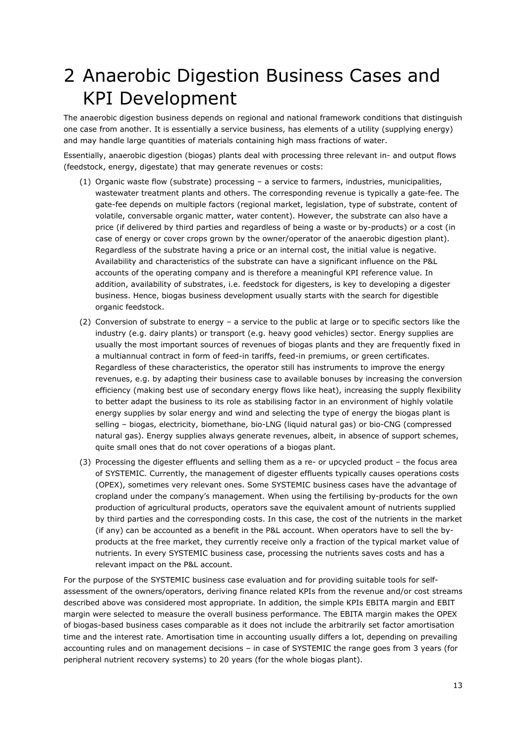# <span id="page-12-0"></span>2 Anaerobic Digestion Business Cases and KPI Development

The anaerobic digestion business depends on regional and national framework conditions that distinguish one case from another. It is essentially a service business, has elements of a utility (supplying energy) and may handle large quantities of materials containing high mass fractions of water.

Essentially, anaerobic digestion (biogas) plants deal with processing three relevant in- and output flows (feedstock, energy, digestate) that may generate revenues or costs:

- (1) Organic waste flow (substrate) processing a service to farmers, industries, municipalities, wastewater treatment plants and others. The corresponding revenue is typically a gate-fee. The gate-fee depends on multiple factors (regional market, legislation, type of substrate, content of volatile, conversable organic matter, water content). However, the substrate can also have a price (if delivered by third parties and regardless of being a waste or by-products) or a cost (in case of energy or cover crops grown by the owner/operator of the anaerobic digestion plant). Regardless of the substrate having a price or an internal cost, the initial value is negative. Availability and characteristics of the substrate can have a significant influence on the P&L accounts of the operating company and is therefore a meaningful KPI reference value. In addition, availability of substrates, i.e. feedstock for digesters, is key to developing a digester business. Hence, biogas business development usually starts with the search for digestible organic feedstock.
- (2) Conversion of substrate to energy a service to the public at large or to specific sectors like the industry (e.g. dairy plants) or transport (e.g. heavy good vehicles) sector. Energy supplies are usually the most important sources of revenues of biogas plants and they are frequently fixed in a multiannual contract in form of feed-in tariffs, feed-in premiums, or green certificates. Regardless of these characteristics, the operator still has instruments to improve the energy revenues, e.g. by adapting their business case to available bonuses by increasing the conversion efficiency (making best use of secondary energy flows like heat), increasing the supply flexibility to better adapt the business to its role as stabilising factor in an environment of highly volatile energy supplies by solar energy and wind and selecting the type of energy the biogas plant is selling – biogas, electricity, biomethane, bio-LNG (liquid natural gas) or bio-CNG (compressed natural gas). Energy supplies always generate revenues, albeit, in absence of support schemes, quite small ones that do not cover operations of a biogas plant.
- (3) Processing the digester effluents and selling them as a re- or upcycled product the focus area of SYSTEMIC. Currently, the management of digester effluents typically causes operations costs (OPEX), sometimes very relevant ones. Some SYSTEMIC business cases have the advantage of cropland under the company's management. When using the fertilising by-products for the own production of agricultural products, operators save the equivalent amount of nutrients supplied by third parties and the corresponding costs. In this case, the cost of the nutrients in the market (if any) can be accounted as a benefit in the P&L account. When operators have to sell the byproducts at the free market, they currently receive only a fraction of the typical market value of nutrients. In every SYSTEMIC business case, processing the nutrients saves costs and has a relevant impact on the P&L account.

For the purpose of the SYSTEMIC business case evaluation and for providing suitable tools for selfassessment of the owners/operators, deriving finance related KPIs from the revenue and/or cost streams described above was considered most appropriate. In addition, the simple KPIs EBITA margin and EBIT margin were selected to measure the overall business performance. The EBITA margin makes the OPEX of biogas-based business cases comparable as it does not include the arbitrarily set factor amortisation time and the interest rate. Amortisation time in accounting usually differs a lot, depending on prevailing accounting rules and on management decisions – in case of SYSTEMIC the range goes from 3 years (for peripheral nutrient recovery systems) to 20 years (for the whole biogas plant).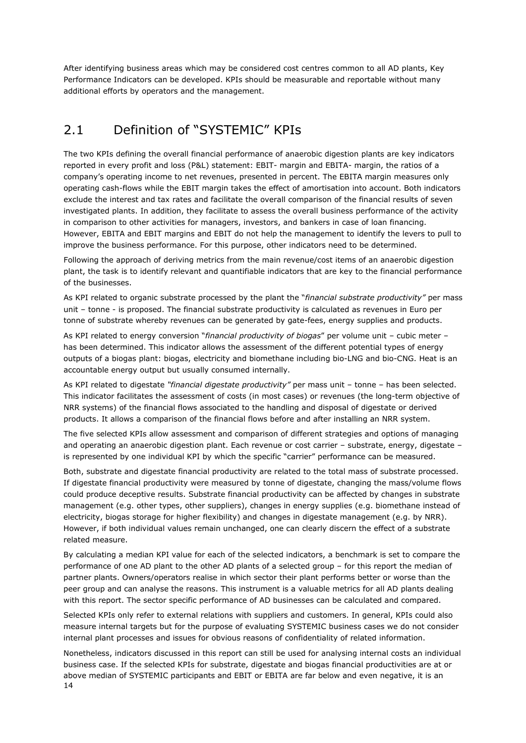After identifying business areas which may be considered cost centres common to all AD plants, Key Performance Indicators can be developed. KPIs should be measurable and reportable without many additional efforts by operators and the management.

### <span id="page-13-0"></span>2.1 Definition of "SYSTEMIC" KPIs

The two KPIs defining the overall financial performance of anaerobic digestion plants are key indicators reported in every profit and loss (P&L) statement: EBIT- margin and EBITA- margin, the ratios of a company's operating income to net revenues, presented in percent. The EBITA margin measures only operating cash-flows while the EBIT margin takes the effect of amortisation into account. Both indicators exclude the interest and tax rates and facilitate the overall comparison of the financial results of seven investigated plants. In addition, they facilitate to assess the overall business performance of the activity in comparison to other activities for managers, investors, and bankers in case of loan financing. However, EBITA and EBIT margins and EBIT do not help the management to identify the levers to pull to improve the business performance. For this purpose, other indicators need to be determined.

Following the approach of deriving metrics from the main revenue/cost items of an anaerobic digestion plant, the task is to identify relevant and quantifiable indicators that are key to the financial performance of the businesses.

As KPI related to organic substrate processed by the plant the "*financial substrate productivity"* per mass unit – tonne - is proposed. The financial substrate productivity is calculated as revenues in Euro per tonne of substrate whereby revenues can be generated by gate-fees, energy supplies and products.

As KPI related to energy conversion "*financial productivity of biogas*" per volume unit – cubic meter – has been determined. This indicator allows the assessment of the different potential types of energy outputs of a biogas plant: biogas, electricity and biomethane including bio-LNG and bio-CNG. Heat is an accountable energy output but usually consumed internally.

As KPI related to digestate *"financial digestate productivity"* per mass unit – tonne – has been selected. This indicator facilitates the assessment of costs (in most cases) or revenues (the long-term objective of NRR systems) of the financial flows associated to the handling and disposal of digestate or derived products. It allows a comparison of the financial flows before and after installing an NRR system.

The five selected KPIs allow assessment and comparison of different strategies and options of managing and operating an anaerobic digestion plant. Each revenue or cost carrier – substrate, energy, digestate – is represented by one individual KPI by which the specific "carrier" performance can be measured.

Both, substrate and digestate financial productivity are related to the total mass of substrate processed. If digestate financial productivity were measured by tonne of digestate, changing the mass/volume flows could produce deceptive results. Substrate financial productivity can be affected by changes in substrate management (e.g. other types, other suppliers), changes in energy supplies (e.g. biomethane instead of electricity, biogas storage for higher flexibility) and changes in digestate management (e.g. by NRR). However, if both individual values remain unchanged, one can clearly discern the effect of a substrate related measure.

By calculating a median KPI value for each of the selected indicators, a benchmark is set to compare the performance of one AD plant to the other AD plants of a selected group – for this report the median of partner plants. Owners/operators realise in which sector their plant performs better or worse than the peer group and can analyse the reasons. This instrument is a valuable metrics for all AD plants dealing with this report. The sector specific performance of AD businesses can be calculated and compared.

Selected KPIs only refer to external relations with suppliers and customers. In general, KPIs could also measure internal targets but for the purpose of evaluating SYSTEMIC business cases we do not consider internal plant processes and issues for obvious reasons of confidentiality of related information.

14 Nonetheless, indicators discussed in this report can still be used for analysing internal costs an individual business case. If the selected KPIs for substrate, digestate and biogas financial productivities are at or above median of SYSTEMIC participants and EBIT or EBITA are far below and even negative, it is an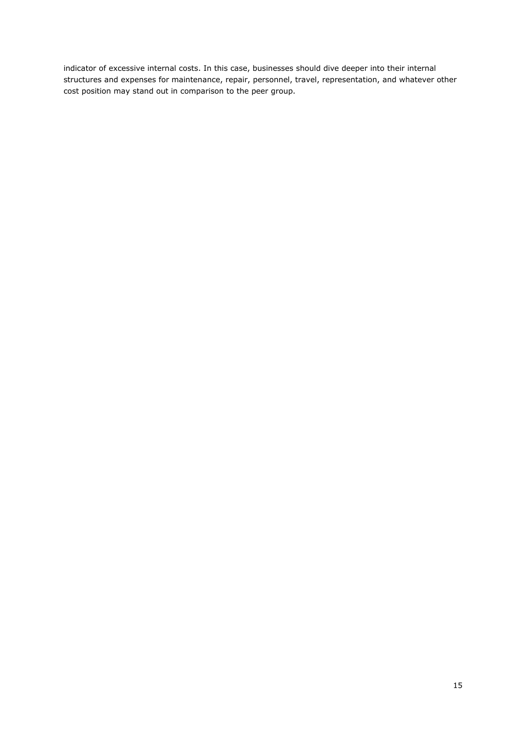indicator of excessive internal costs. In this case, businesses should dive deeper into their internal structures and expenses for maintenance, repair, personnel, travel, representation, and whatever other cost position may stand out in comparison to the peer group.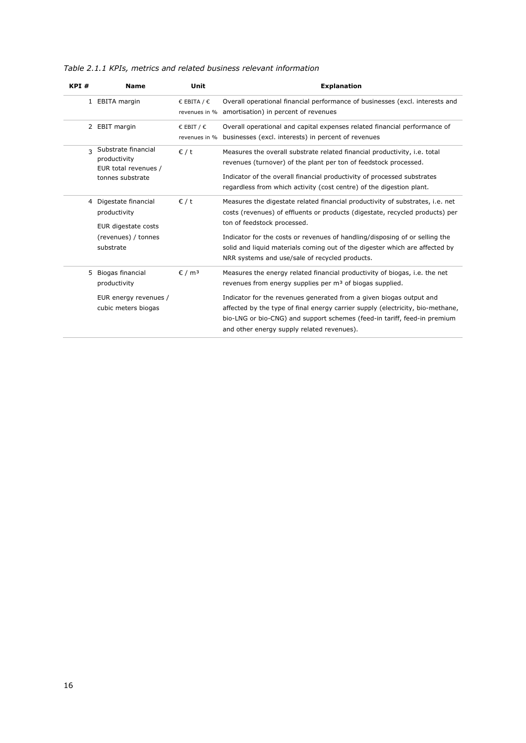*Table 2.1.1 KPIs, metrics and related business relevant information*

| KPI#         | <b>Name</b>                                                                                    | Unit                                          | <b>Explanation</b>                                                                                                                                                                                                                                                                                                                                                                                                                    |
|--------------|------------------------------------------------------------------------------------------------|-----------------------------------------------|---------------------------------------------------------------------------------------------------------------------------------------------------------------------------------------------------------------------------------------------------------------------------------------------------------------------------------------------------------------------------------------------------------------------------------------|
|              | 1 EBITA margin                                                                                 | € EBITA / $∈$<br>revenues in %                | Overall operational financial performance of businesses (excl. interests and<br>amortisation) in percent of revenues                                                                                                                                                                                                                                                                                                                  |
|              | 2 EBIT margin                                                                                  | $\epsilon$ EBIT / $\epsilon$<br>revenues in % | Overall operational and capital expenses related financial performance of<br>businesses (excl. interests) in percent of revenues                                                                                                                                                                                                                                                                                                      |
| $\mathbf{z}$ | Substrate financial<br>productivity<br>EUR total revenues /<br>tonnes substrate                | $\epsilon$ / t                                | Measures the overall substrate related financial productivity, i.e. total<br>revenues (turnover) of the plant per ton of feedstock processed.<br>Indicator of the overall financial productivity of processed substrates<br>regardless from which activity (cost centre) of the digestion plant.                                                                                                                                      |
| 4            | Digestate financial<br>productivity<br>EUR digestate costs<br>(revenues) / tonnes<br>substrate | $\epsilon$ / t                                | Measures the digestate related financial productivity of substrates, i.e. net<br>costs (revenues) of effluents or products (digestate, recycled products) per<br>ton of feedstock processed.<br>Indicator for the costs or revenues of handling/disposing of or selling the<br>solid and liquid materials coming out of the digester which are affected by<br>NRR systems and use/sale of recycled products.                          |
| 5            | Biogas financial<br>productivity<br>EUR energy revenues /<br>cubic meters biogas               | $\epsilon$ / m <sup>3</sup>                   | Measures the energy related financial productivity of biogas, i.e. the net<br>revenues from energy supplies per m <sup>3</sup> of biogas supplied.<br>Indicator for the revenues generated from a given biogas output and<br>affected by the type of final energy carrier supply (electricity, bio-methane,<br>bio-LNG or bio-CNG) and support schemes (feed-in tariff, feed-in premium<br>and other energy supply related revenues). |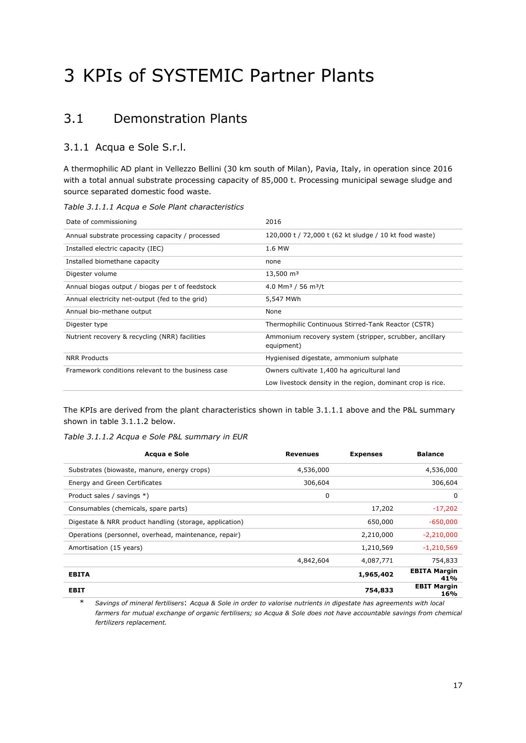# <span id="page-16-0"></span>3 KPIs of SYSTEMIC Partner Plants

### <span id="page-16-1"></span>3.1 Demonstration Plants

#### <span id="page-16-2"></span>3.1.1 Acqua e Sole S.r.l.

A thermophilic AD plant in Vellezzo Bellini (30 km south of Milan), Pavia, Italy, in operation since 2016 with a total annual substrate processing capacity of 85,000 t. Processing municipal sewage sludge and source separated domestic food waste.

#### *Table 3.1.1.1 Acqua e Sole Plant characteristics*

| Date of commissioning                              | 2016                                                                  |
|----------------------------------------------------|-----------------------------------------------------------------------|
| Annual substrate processing capacity / processed   | 120,000 t / 72,000 t (62 kt sludge / 10 kt food waste)                |
| Installed electric capacity (IEC)                  | 1.6 MW                                                                |
| Installed biomethane capacity                      | none                                                                  |
| Digester volume                                    | $13,500 \text{ m}^3$                                                  |
| Annual biogas output / biogas per t of feedstock   | 4.0 Mm <sup>3</sup> / 56 m <sup>3</sup> /t                            |
| Annual electricity net-output (fed to the grid)    | 5,547 MWh                                                             |
| Annual bio-methane output                          | None                                                                  |
| Digester type                                      | Thermophilic Continuous Stirred-Tank Reactor (CSTR)                   |
| Nutrient recovery & recycling (NRR) facilities     | Ammonium recovery system (stripper, scrubber, ancillary<br>equipment) |
| <b>NRR Products</b>                                | Hygienised digestate, ammonium sulphate                               |
| Framework conditions relevant to the business case | Owners cultivate 1,400 ha agricultural land                           |
|                                                    | Low livestock density in the region, dominant crop is rice.           |

The KPIs are derived from the plant characteristics shown in table 3.1.1.1 above and the P&L summary shown in table 3.1.1.2 below.

*Table 3.1.1.2 Acqua e Sole P&L summary in EUR*

| Acqua e Sole                                            | <b>Revenues</b> | <b>Expenses</b> | <b>Balance</b>             |
|---------------------------------------------------------|-----------------|-----------------|----------------------------|
| Substrates (biowaste, manure, energy crops)             | 4,536,000       |                 | 4,536,000                  |
| Energy and Green Certificates                           | 306,604         |                 | 306,604                    |
| Product sales / savings *)                              | 0               |                 | 0                          |
| Consumables (chemicals, spare parts)                    |                 | 17,202          | $-17,202$                  |
| Digestate & NRR product handling (storage, application) |                 | 650,000         | $-650,000$                 |
| Operations (personnel, overhead, maintenance, repair)   |                 | 2,210,000       | $-2,210,000$               |
| Amortisation (15 years)                                 |                 | 1,210,569       | $-1,210,569$               |
|                                                         | 4,842,604       | 4,087,771       | 754,833                    |
| <b>EBITA</b>                                            |                 | 1,965,402       | <b>EBITA Margin</b><br>41% |
| <b>EBIT</b>                                             |                 | 754,833         | <b>EBIT Margin</b><br>16%  |

\* *Savings of mineral fertilisers*: *Acqua & Sole in order to valorise nutrients in digestate has agreements with local farmers for mutual exchange of organic fertilisers; so Acqua & Sole does not have accountable savings from chemical fertilizers replacement.*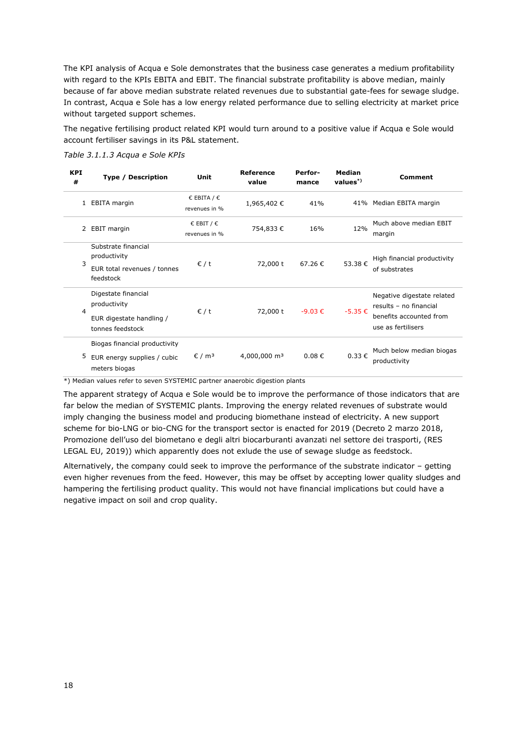The KPI analysis of Acqua e Sole demonstrates that the business case generates a medium profitability with regard to the KPIs EBITA and EBIT. The financial substrate profitability is above median, mainly because of far above median substrate related revenues due to substantial gate-fees for sewage sludge. In contrast, Acqua e Sole has a low energy related performance due to selling electricity at market price without targeted support schemes.

The negative fertilising product related KPI would turn around to a positive value if Acqua e Sole would account fertiliser savings in its P&L statement.

| <b>KPI</b><br># | <b>Type / Description</b>                                                           | Unit                                          | Reference<br>value       | Perfor-<br>mance | Median<br>$values^*$ | <b>Comment</b>                                                                                        |
|-----------------|-------------------------------------------------------------------------------------|-----------------------------------------------|--------------------------|------------------|----------------------|-------------------------------------------------------------------------------------------------------|
| $\mathbf{1}$    | EBITA margin                                                                        | € EBITA / $∈$<br>revenues in %                | 1,965,402€               | 41%              |                      | 41% Median EBITA margin                                                                               |
| 2               | <b>EBIT</b> margin                                                                  | $\epsilon$ EBIT / $\epsilon$<br>revenues in % | 754,833€                 | 16%              | 12%                  | Much above median EBIT<br>margin                                                                      |
| 3               | Substrate financial<br>productivity<br>EUR total revenues / tonnes<br>feedstock     | $\epsilon$ / t                                | 72,000 t                 | 67.26€           | 53.38€               | High financial productivity<br>of substrates                                                          |
| 4               | Digestate financial<br>productivity<br>EUR digestate handling /<br>tonnes feedstock | $\epsilon$ / t                                | 72,000 t                 | $-9.03 \in$      | $-5.35 \in$          | Negative digestate related<br>results - no financial<br>benefits accounted from<br>use as fertilisers |
| 5               | Biogas financial productivity<br>EUR energy supplies / cubic<br>meters biogas       | $\epsilon$ / m <sup>3</sup>                   | 4,000,000 m <sup>3</sup> | $0.08 \in$       | $0.33 \in$           | Much below median biogas<br>productivity                                                              |

*Table 3.1.1.3 Acqua e Sole KPIs*

\*) Median values refer to seven SYSTEMIC partner anaerobic digestion plants

The apparent strategy of Acqua e Sole would be to improve the performance of those indicators that are far below the median of SYSTEMIC plants. Improving the energy related revenues of substrate would imply changing the business model and producing biomethane instead of electricity. A new support scheme for bio-LNG or bio-CNG for the transport sector is enacted for 2019 (Decreto 2 marzo 2018, Promozione dell'uso del biometano e degli altri biocarburanti avanzati nel settore dei trasporti, (RES LEGAL EU, 2019)) which apparently does not exlude the use of sewage sludge as feedstock.

Alternatively, the company could seek to improve the performance of the substrate indicator – getting even higher revenues from the feed. However, this may be offset by accepting lower quality sludges and hampering the fertilising product quality. This would not have financial implications but could have a negative impact on soil and crop quality.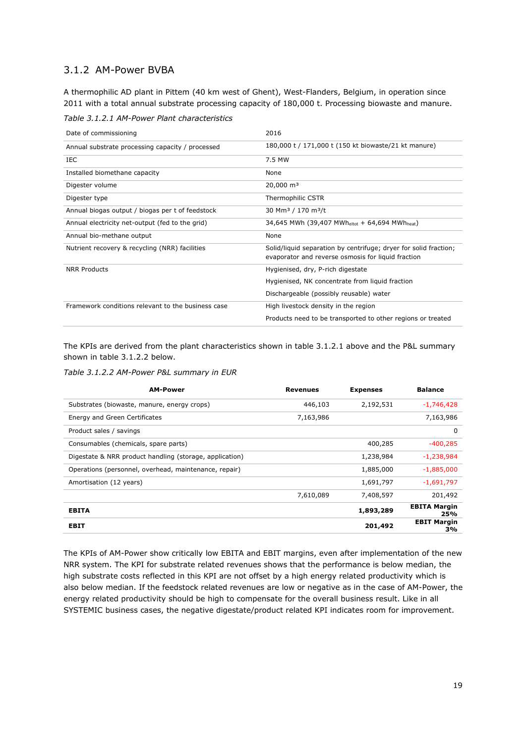#### <span id="page-18-0"></span>3.1.2 AM-Power BVBA

A thermophilic AD plant in Pittem (40 km west of Ghent), West-Flanders, Belgium, in operation since 2011 with a total annual substrate processing capacity of 180,000 t. Processing biowaste and manure.

*Table 3.1.2.1 AM-Power Plant characteristics*

| Date of commissioning                              | 2016                                                                                                                   |
|----------------------------------------------------|------------------------------------------------------------------------------------------------------------------------|
| Annual substrate processing capacity / processed   | 180,000 t / 171,000 t (150 kt biowaste/21 kt manure)                                                                   |
| IEC.                                               | 7.5 MW                                                                                                                 |
| Installed biomethane capacity                      | None                                                                                                                   |
| Digester volume                                    | $20,000 \text{ m}^3$                                                                                                   |
| Digester type                                      | Thermophilic CSTR                                                                                                      |
| Annual biogas output / biogas per t of feedstock   | 30 Mm <sup>3</sup> / 170 m <sup>3</sup> /t                                                                             |
| Annual electricity net-output (fed to the grid)    | 34,645 MWh (39,407 MWheltot + 64,694 MWheat)                                                                           |
| Annual bio-methane output                          | None                                                                                                                   |
| Nutrient recovery & recycling (NRR) facilities     | Solid/liquid separation by centrifuge; dryer for solid fraction;<br>evaporator and reverse osmosis for liquid fraction |
| <b>NRR Products</b>                                | Hygienised, dry, P-rich digestate                                                                                      |
|                                                    | Hygienised, NK concentrate from liquid fraction                                                                        |
|                                                    | Dischargeable (possibly reusable) water                                                                                |
| Framework conditions relevant to the business case | High livestock density in the region                                                                                   |
|                                                    | Products need to be transported to other regions or treated                                                            |

The KPIs are derived from the plant characteristics shown in table 3.1.2.1 above and the P&L summary shown in table 3.1.2.2 below.

*Table 3.1.2.2 AM-Power P&L summary in EUR*

| <b>AM-Power</b>                                         | <b>Revenues</b> | <b>Expenses</b> | <b>Balance</b>             |
|---------------------------------------------------------|-----------------|-----------------|----------------------------|
| Substrates (biowaste, manure, energy crops)             | 446,103         | 2,192,531       | $-1,746,428$               |
| Energy and Green Certificates                           | 7,163,986       |                 | 7,163,986                  |
| Product sales / savings                                 |                 |                 | 0                          |
| Consumables (chemicals, spare parts)                    |                 | 400,285         | $-400,285$                 |
| Digestate & NRR product handling (storage, application) |                 | 1,238,984       | -1,238,984                 |
| Operations (personnel, overhead, maintenance, repair)   |                 | 1,885,000       | $-1,885,000$               |
| Amortisation (12 years)                                 |                 | 1,691,797       | $-1,691,797$               |
|                                                         | 7,610,089       | 7,408,597       | 201,492                    |
| <b>EBITA</b>                                            |                 | 1,893,289       | <b>EBITA Margin</b><br>25% |
| <b>EBIT</b>                                             |                 | 201,492         | <b>EBIT Margin</b><br>3%   |

The KPIs of AM-Power show critically low EBITA and EBIT margins, even after implementation of the new NRR system. The KPI for substrate related revenues shows that the performance is below median, the high substrate costs reflected in this KPI are not offset by a high energy related productivity which is also below median. If the feedstock related revenues are low or negative as in the case of AM-Power, the energy related productivity should be high to compensate for the overall business result. Like in all SYSTEMIC business cases, the negative digestate/product related KPI indicates room for improvement.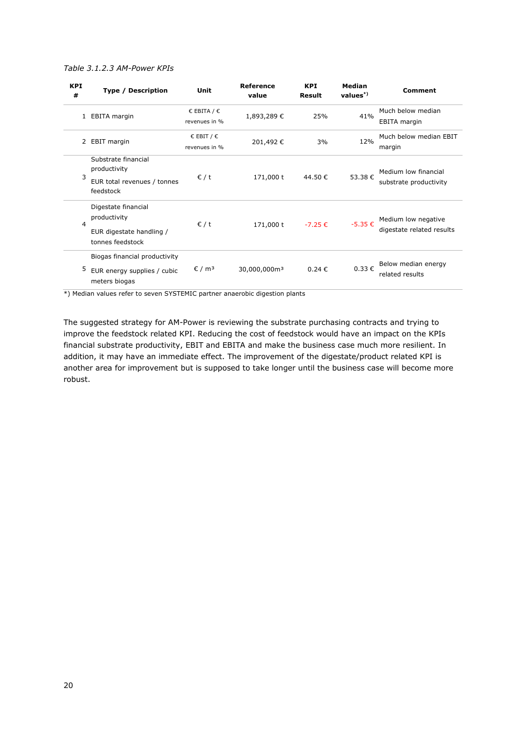#### *Table 3.1.2.3 AM-Power KPIs*

| <b>KPI</b><br># | Type / Description                                                                  | Unit                                          | Reference<br>value       | <b>KPI</b><br><b>Result</b> | Median<br>$values^*)$ | Comment                                          |
|-----------------|-------------------------------------------------------------------------------------|-----------------------------------------------|--------------------------|-----------------------------|-----------------------|--------------------------------------------------|
|                 | 1 EBITA margin                                                                      | € EBITA / $∈$<br>revenues in %                | 1,893,289€               | 25%                         | 41%                   | Much below median<br><b>EBITA</b> margin         |
|                 | 2 EBIT margin                                                                       | $\epsilon$ EBIT / $\epsilon$<br>revenues in % | 201,492€                 | 3%                          | 12%                   | Much below median EBIT<br>margin                 |
| 3               | Substrate financial<br>productivity<br>EUR total revenues / tonnes<br>feedstock     | $\epsilon$ / t                                | 171,000 t                | 44.50€                      | 53.38€                | Medium low financial<br>substrate productivity   |
| 4               | Digestate financial<br>productivity<br>EUR digestate handling /<br>tonnes feedstock | $\epsilon$ / t                                | 171,000 t                | $-7.25 \in$                 | $-5.35 \in$           | Medium low negative<br>digestate related results |
| 5               | Biogas financial productivity<br>EUR energy supplies / cubic<br>meters biogas       | $\epsilon$ / m <sup>3</sup>                   | 30,000,000m <sup>3</sup> | 0.24€                       | $0.33 \in$            | Below median energy<br>related results           |

\*) Median values refer to seven SYSTEMIC partner anaerobic digestion plants

The suggested strategy for AM-Power is reviewing the substrate purchasing contracts and trying to improve the feedstock related KPI. Reducing the cost of feedstock would have an impact on the KPIs financial substrate productivity, EBIT and EBITA and make the business case much more resilient. In addition, it may have an immediate effect. The improvement of the digestate/product related KPI is another area for improvement but is supposed to take longer until the business case will become more robust.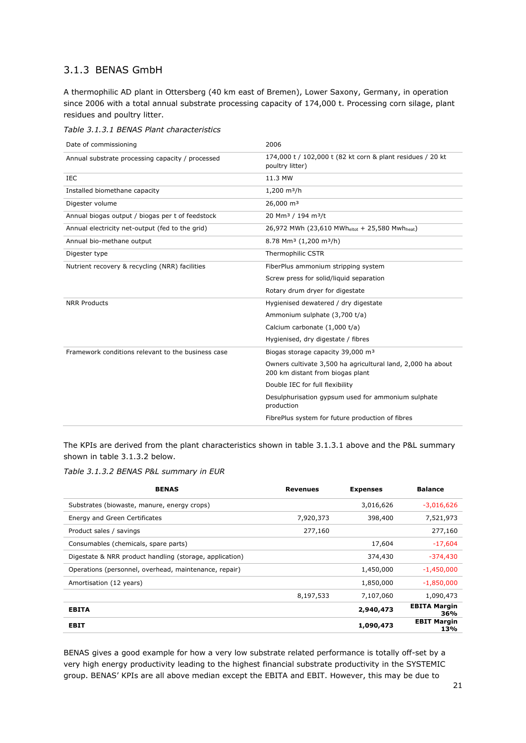#### <span id="page-20-0"></span>3.1.3 BENAS GmbH

A thermophilic AD plant in Ottersberg (40 km east of Bremen), Lower Saxony, Germany, in operation since 2006 with a total annual substrate processing capacity of 174,000 t. Processing corn silage, plant residues and poultry litter.

*Table 3.1.3.1 BENAS Plant characteristics*

| Date of commissioning                              | 2006                                                                                            |
|----------------------------------------------------|-------------------------------------------------------------------------------------------------|
| Annual substrate processing capacity / processed   | 174,000 t / 102,000 t (82 kt corn & plant residues / 20 kt<br>poultry litter)                   |
| IEC                                                | 11.3 MW                                                                                         |
| Installed biomethane capacity                      | $1,200 \text{ m}^3/h$                                                                           |
| Digester volume                                    | 26,000 m <sup>3</sup>                                                                           |
| Annual biogas output / biogas per t of feedstock   | 20 Mm <sup>3</sup> / 194 m <sup>3</sup> /t                                                      |
| Annual electricity net-output (fed to the grid)    | 26,972 MWh (23,610 MWheltot + 25,580 Mwhheat)                                                   |
| Annual bio-methane output                          | 8.78 Mm <sup>3</sup> (1,200 m <sup>3</sup> /h)                                                  |
| Digester type                                      | <b>Thermophilic CSTR</b>                                                                        |
| Nutrient recovery & recycling (NRR) facilities     | FiberPlus ammonium stripping system                                                             |
|                                                    | Screw press for solid/liquid separation                                                         |
|                                                    | Rotary drum dryer for digestate                                                                 |
| <b>NRR Products</b>                                | Hygienised dewatered / dry digestate                                                            |
|                                                    | Ammonium sulphate (3,700 t/a)                                                                   |
|                                                    | Calcium carbonate (1,000 t/a)                                                                   |
|                                                    | Hygienised, dry digestate / fibres                                                              |
| Framework conditions relevant to the business case | Biogas storage capacity 39,000 m <sup>3</sup>                                                   |
|                                                    | Owners cultivate 3,500 ha agricultural land, 2,000 ha about<br>200 km distant from biogas plant |
|                                                    | Double IEC for full flexibility                                                                 |
|                                                    | Desulphurisation gypsum used for ammonium sulphate<br>production                                |
|                                                    | FibrePlus system for future production of fibres                                                |

The KPIs are derived from the plant characteristics shown in table 3.1.3.1 above and the P&L summary shown in table 3.1.3.2 below.

*Table 3.1.3.2 BENAS P&L summary in EUR*

| <b>BENAS</b>                                            | <b>Revenues</b> | <b>Expenses</b> | <b>Balance</b>             |
|---------------------------------------------------------|-----------------|-----------------|----------------------------|
| Substrates (biowaste, manure, energy crops)             |                 | 3,016,626       | $-3,016,626$               |
| Energy and Green Certificates                           | 7,920,373       | 398,400         | 7,521,973                  |
| Product sales / savings                                 | 277,160         |                 | 277,160                    |
| Consumables (chemicals, spare parts)                    |                 | 17,604          | $-17,604$                  |
| Digestate & NRR product handling (storage, application) |                 | 374,430         | $-374,430$                 |
| Operations (personnel, overhead, maintenance, repair)   |                 | 1,450,000       | $-1,450,000$               |
| Amortisation (12 years)                                 |                 | 1,850,000       | $-1,850,000$               |
|                                                         | 8,197,533       | 7,107,060       | 1,090,473                  |
| <b>EBITA</b>                                            |                 | 2,940,473       | <b>EBITA Margin</b><br>36% |
| <b>EBIT</b>                                             |                 | 1,090,473       | <b>EBIT Margin</b><br>13%  |

BENAS gives a good example for how a very low substrate related performance is totally off-set by a very high energy productivity leading to the highest financial substrate productivity in the SYSTEMIC group. BENAS' KPIs are all above median except the EBITA and EBIT. However, this may be due to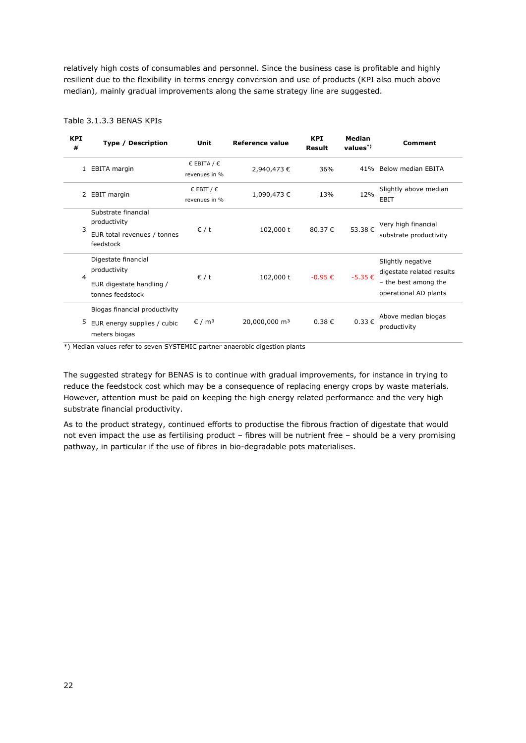relatively high costs of consumables and personnel. Since the business case is profitable and highly resilient due to the flexibility in terms energy conversion and use of products (KPI also much above median), mainly gradual improvements along the same strategy line are suggested.

| <b>KPI</b><br># | <b>Type / Description</b>                                                           | Unit                           | Reference value           | <b>KPI</b><br>Result | Median<br>$values^*$ | <b>Comment</b>                                                                                  |
|-----------------|-------------------------------------------------------------------------------------|--------------------------------|---------------------------|----------------------|----------------------|-------------------------------------------------------------------------------------------------|
| 1               | EBITA margin                                                                        | € EBITA / $∈$<br>revenues in % | 2,940,473€                | 36%                  |                      | 41% Below median EBITA                                                                          |
|                 | 2 EBIT margin                                                                       | € EBIT / $∈$<br>revenues in %  | 1,090,473€                | 13%                  | 12%                  | Slightly above median<br>EBIT                                                                   |
| 3               | Substrate financial<br>productivity<br>EUR total revenues / tonnes<br>feedstock     | $\epsilon$ / t                 | 102,000 t                 | 80.37€               | 53.38€               | Very high financial<br>substrate productivity                                                   |
| 4               | Digestate financial<br>productivity<br>EUR digestate handling /<br>tonnes feedstock | $\epsilon$ / t                 | 102,000 t                 | $-0.95 \in$          | $-5.35€$             | Slightly negative<br>digestate related results<br>- the best among the<br>operational AD plants |
| 5               | Biogas financial productivity<br>EUR energy supplies / cubic<br>meters biogas       | $\epsilon$ / m <sup>3</sup>    | 20,000,000 m <sup>3</sup> | $0.38 \in$           | $0.33 \in$           | Above median biogas<br>productivity                                                             |

#### Table 3.1.3.3 BENAS KPIs

\*) Median values refer to seven SYSTEMIC partner anaerobic digestion plants

The suggested strategy for BENAS is to continue with gradual improvements, for instance in trying to reduce the feedstock cost which may be a consequence of replacing energy crops by waste materials. However, attention must be paid on keeping the high energy related performance and the very high substrate financial productivity.

As to the product strategy, continued efforts to productise the fibrous fraction of digestate that would not even impact the use as fertilising product – fibres will be nutrient free – should be a very promising pathway, in particular if the use of fibres in bio-degradable pots materialises.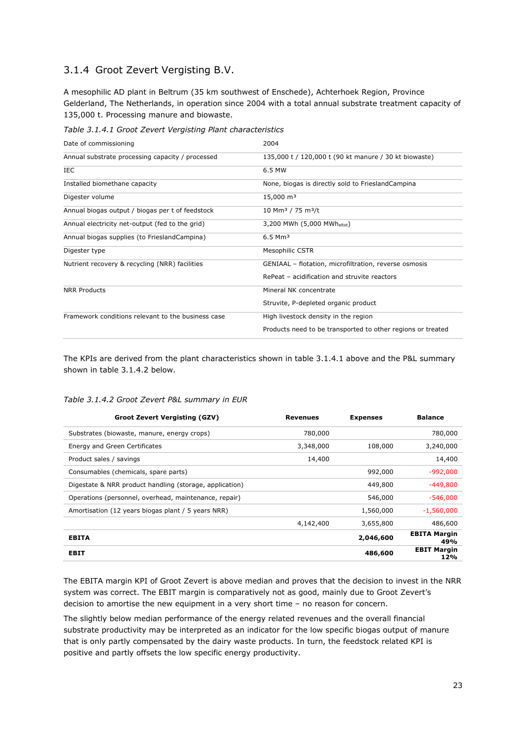#### <span id="page-22-0"></span>3.1.4 Groot Zevert Vergisting B.V.

A mesophilic AD plant in Beltrum (35 km southwest of Enschede), Achterhoek Region, Province Gelderland, The Netherlands, in operation since 2004 with a total annual substrate treatment capacity of 135,000 t. Processing manure and biowaste.

*Table 3.1.4.1 Groot Zevert Vergisting Plant characteristics*

| Date of commissioning                              | 2004                                                        |
|----------------------------------------------------|-------------------------------------------------------------|
| Annual substrate processing capacity / processed   | 135,000 t / 120,000 t (90 kt manure / 30 kt biowaste)       |
| <b>IEC</b>                                         | 6.5 MW                                                      |
| Installed biomethane capacity                      | None, biogas is directly sold to FrieslandCampina           |
| Digester volume                                    | 15,000 m <sup>3</sup>                                       |
| Annual biogas output / biogas per t of feedstock   | 10 Mm <sup>3</sup> / 75 m <sup>3</sup> /t                   |
| Annual electricity net-output (fed to the grid)    | 3,200 MWh (5,000 MWheltot)                                  |
| Annual biogas supplies (to FrieslandCampina)       | $6.5$ Mm <sup>3</sup>                                       |
| Digester type                                      | <b>Mesophilic CSTR</b>                                      |
| Nutrient recovery & recycling (NRR) facilities     | GENIAAL - flotation, microfiltration, reverse osmosis       |
|                                                    | RePeat - acidification and struvite reactors                |
| <b>NRR Products</b>                                | Mineral NK concentrate                                      |
|                                                    | Struvite, P-depleted organic product                        |
| Framework conditions relevant to the business case | High livestock density in the region                        |
|                                                    | Products need to be transported to other regions or treated |

The KPIs are derived from the plant characteristics shown in table 3.1.4.1 above and the P&L summary shown in table 3.1.4.2 below.

#### *Table 3.1.4.2 Groot Zevert P&L summary in EUR*

| <b>Groot Zevert Vergisting (GZV)</b>                    | <b>Revenues</b> | <b>Expenses</b> | <b>Balance</b>             |
|---------------------------------------------------------|-----------------|-----------------|----------------------------|
| Substrates (biowaste, manure, energy crops)             | 780,000         |                 | 780,000                    |
| Energy and Green Certificates                           | 3,348,000       | 108,000         | 3,240,000                  |
| Product sales / savings                                 | 14,400          |                 | 14,400                     |
| Consumables (chemicals, spare parts)                    |                 | 992,000         | $-992,000$                 |
| Digestate & NRR product handling (storage, application) |                 | 449,800         | $-449,800$                 |
| Operations (personnel, overhead, maintenance, repair)   |                 | 546,000         | $-546,000$                 |
| Amortisation (12 years biogas plant / 5 years NRR)      |                 | 1,560,000       | $-1,560,000$               |
|                                                         | 4,142,400       | 3,655,800       | 486,600                    |
| <b>EBITA</b>                                            |                 | 2,046,600       | <b>EBITA Margin</b><br>49% |
| <b>EBIT</b>                                             |                 | 486,600         | <b>EBIT Margin</b><br>12%  |

The EBITA margin KPI of Groot Zevert is above median and proves that the decision to invest in the NRR system was correct. The EBIT margin is comparatively not as good, mainly due to Groot Zevert's decision to amortise the new equipment in a very short time – no reason for concern.

The slightly below median performance of the energy related revenues and the overall financial substrate productivity may be interpreted as an indicator for the low specific biogas output of manure that is only partly compensated by the dairy waste products. In turn, the feedstock related KPI is positive and partly offsets the low specific energy productivity.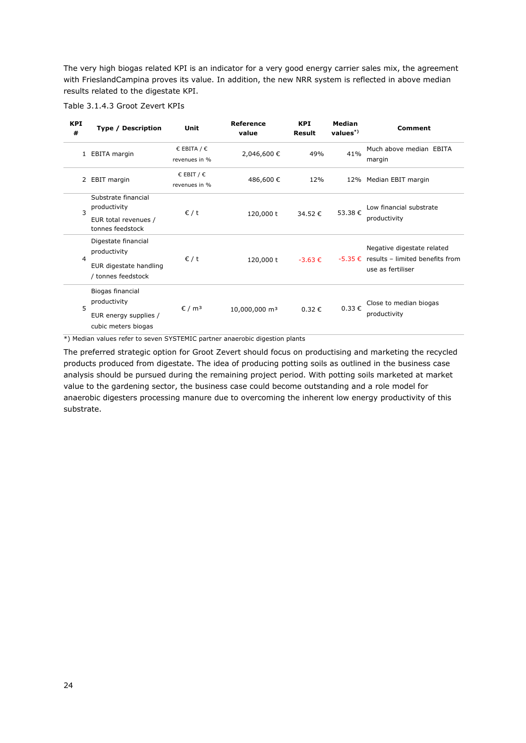The very high biogas related KPI is an indicator for a very good energy carrier sales mix, the agreement with FrieslandCampina proves its value. In addition, the new NRR system is reflected in above median results related to the digestate KPI.



| <b>KPI</b><br># | Type / Description                                                                                      | Unit                           | <b>Reference</b><br>value | <b>KPI</b><br><b>Result</b> | <b>Median</b><br>$values^*$ | Comment                                                                                        |
|-----------------|---------------------------------------------------------------------------------------------------------|--------------------------------|---------------------------|-----------------------------|-----------------------------|------------------------------------------------------------------------------------------------|
| 1               | EBITA margin                                                                                            | € EBITA / $∈$<br>revenues in % | 2,046,600 €               | 49%                         | 41%                         | Much above median EBITA<br>margin                                                              |
|                 | 2 EBIT margin                                                                                           | € EBIT / $∈$<br>revenues in %  | 486,600€                  | 12%                         |                             | 12% Median EBIT margin                                                                         |
| 3               | Substrate financial<br>productivity<br>EUR total revenues /                                             | $\epsilon$ / t                 | 120,000 t                 | 34.52€                      | 53.38€                      | Low financial substrate<br>productivity                                                        |
| 4               | tonnes feedstock<br>Digestate financial<br>productivity<br>EUR digestate handling<br>/ tonnes feedstock | $\epsilon$ / t                 | 120,000 t                 | $-3.63 \in$                 |                             | Negative digestate related<br>$-5.35 \in$ results – limited benefits from<br>use as fertiliser |
| 5               | Biogas financial<br>productivity<br>EUR energy supplies /<br>cubic meters biogas                        | $\epsilon$ / m <sup>3</sup>    | 10,000,000 m <sup>3</sup> | $0.32 \in$                  | 0.33€                       | Close to median biogas<br>productivity                                                         |

\*) Median values refer to seven SYSTEMIC partner anaerobic digestion plants

The preferred strategic option for Groot Zevert should focus on productising and marketing the recycled products produced from digestate. The idea of producing potting soils as outlined in the business case analysis should be pursued during the remaining project period. With potting soils marketed at market value to the gardening sector, the business case could become outstanding and a role model for anaerobic digesters processing manure due to overcoming the inherent low energy productivity of this substrate.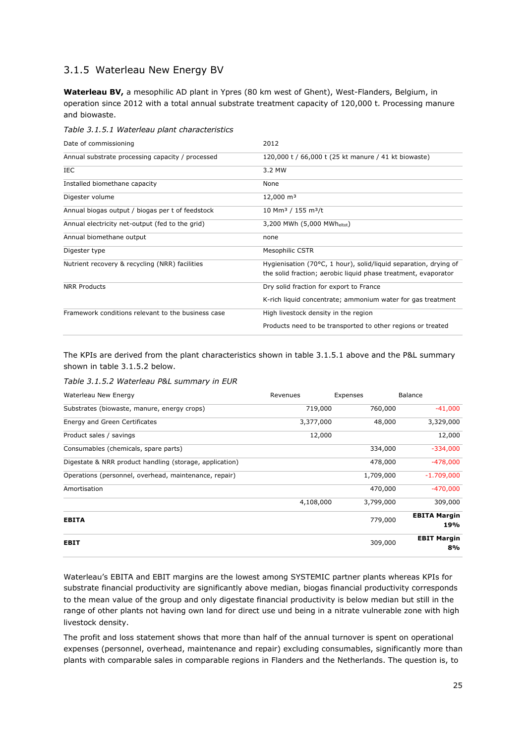#### <span id="page-24-0"></span>3.1.5 Waterleau New Energy BV

**Waterleau BV,** a mesophilic AD plant in Ypres (80 km west of Ghent), West-Flanders, Belgium, in operation since 2012 with a total annual substrate treatment capacity of 120,000 t. Processing manure and biowaste.

*Table 3.1.5.1 Waterleau plant characteristics*

| Date of commissioning                              | 2012                                                             |
|----------------------------------------------------|------------------------------------------------------------------|
| Annual substrate processing capacity / processed   | 120,000 t / 66,000 t (25 kt manure / 41 kt biowaste)             |
| IEC.                                               | 3.2 MW                                                           |
| Installed biomethane capacity                      | None                                                             |
| Digester volume                                    | $12,000 \text{ m}^3$                                             |
| Annual biogas output / biogas per t of feedstock   | $10$ Mm <sup>3</sup> / 155 m <sup>3</sup> /t                     |
| Annual electricity net-output (fed to the grid)    | 3,200 MWh (5,000 MWheltot)                                       |
| Annual biomethane output                           | none                                                             |
| Digester type                                      | Mesophilic CSTR                                                  |
| Nutrient recovery & recycling (NRR) facilities     | Hygienisation (70°C, 1 hour), solid/liquid separation, drying of |
|                                                    | the solid fraction; aerobic liquid phase treatment, evaporator   |
| <b>NRR Products</b>                                | Dry solid fraction for export to France                          |
|                                                    | K-rich liquid concentrate; ammonium water for gas treatment      |
| Framework conditions relevant to the business case | High livestock density in the region                             |
|                                                    | Products need to be transported to other regions or treated      |

The KPIs are derived from the plant characteristics shown in table 3.1.5.1 above and the P&L summary shown in table 3.1.5.2 below.

*Table 3.1.5.2 Waterleau P&L summary in EUR*

| Waterleau New Energy                                    | Revenues  | Expenses  | <b>Balance</b>             |  |
|---------------------------------------------------------|-----------|-----------|----------------------------|--|
| Substrates (biowaste, manure, energy crops)             | 719,000   | 760,000   | $-41,000$                  |  |
| Energy and Green Certificates                           | 3,377,000 | 48,000    | 3,329,000                  |  |
| Product sales / savings                                 | 12,000    |           | 12,000                     |  |
| Consumables (chemicals, spare parts)                    |           | 334,000   | $-334,000$                 |  |
| Digestate & NRR product handling (storage, application) |           | 478,000   | $-478,000$                 |  |
| Operations (personnel, overhead, maintenance, repair)   |           | 1,709,000 | $-1.709,000$               |  |
| Amortisation                                            |           | 470,000   | $-470,000$                 |  |
|                                                         | 4,108,000 | 3,799,000 | 309,000                    |  |
| <b>EBITA</b>                                            |           | 779,000   | <b>EBITA Margin</b><br>19% |  |
| <b>EBIT</b>                                             |           | 309,000   | <b>EBIT Margin</b><br>8%   |  |

Waterleau's EBITA and EBIT margins are the lowest among SYSTEMIC partner plants whereas KPIs for substrate financial productivity are significantly above median, biogas financial productivity corresponds to the mean value of the group and only digestate financial productivity is below median but still in the range of other plants not having own land for direct use und being in a nitrate vulnerable zone with high livestock density.

The profit and loss statement shows that more than half of the annual turnover is spent on operational expenses (personnel, overhead, maintenance and repair) excluding consumables, significantly more than plants with comparable sales in comparable regions in Flanders and the Netherlands. The question is, to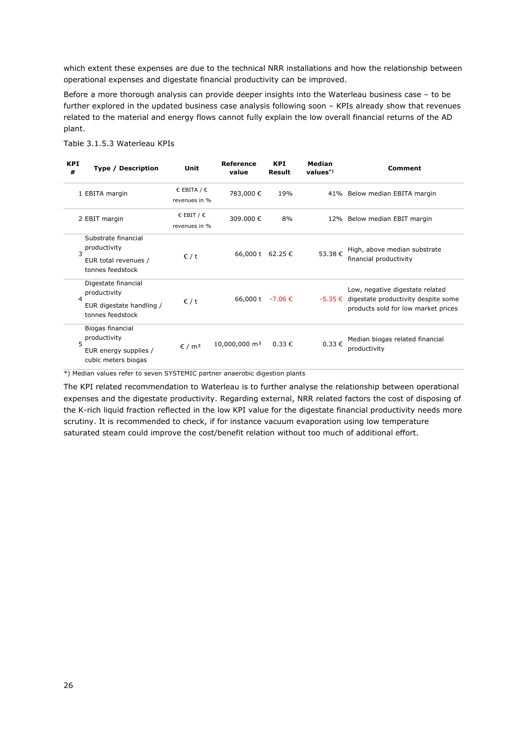which extent these expenses are due to the technical NRR installations and how the relationship between operational expenses and digestate financial productivity can be improved.

Before a more thorough analysis can provide deeper insights into the Waterleau business case – to be further explored in the updated business case analysis following soon – KPIs already show that revenues related to the material and energy flows cannot fully explain the low overall financial returns of the AD plant.

| <b>KPI</b><br># | <b>Type / Description</b>                                                             | Unit                           | Reference<br>value        | <b>KPI</b><br><b>Result</b> | Median<br>$values^*)$ | Comment                                                                                                                   |
|-----------------|---------------------------------------------------------------------------------------|--------------------------------|---------------------------|-----------------------------|-----------------------|---------------------------------------------------------------------------------------------------------------------------|
|                 | 1 EBITA margin                                                                        | € EBITA / $∈$<br>revenues in % | 783,000€                  | 19%                         |                       | 41% Below median EBITA margin                                                                                             |
|                 | 2 EBIT margin                                                                         | € EBIT / $∈$<br>revenues in %  | 309.000€                  | 8%                          |                       | 12% Below median EBIT margin                                                                                              |
| $\mathbf{z}$    | Substrate financial<br>productivity<br>EUR total revenues /<br>tonnes feedstock       | $\epsilon$ / t                 | 66,000 t 62.25 €          |                             | 53.38€                | High, above median substrate<br>financial productivity                                                                    |
| $\overline{a}$  | Digestate financial<br>productivity<br>EUR digestate handling /<br>tonnes feedstock   | $\epsilon$ / t                 | 66,000 t $-7.06 \in$      |                             |                       | Low, negative digestate related<br>$-5.35 \in$ digestate productivity despite some<br>products sold for low market prices |
|                 | Biogas financial<br>productivity<br>5<br>EUR energy supplies /<br>cubic meters biogas | $\epsilon$ / m <sup>3</sup>    | 10,000,000 m <sup>3</sup> | $0.33 \notin$               | 0.33€                 | Median biogas related financial<br>productivity                                                                           |

Table 3.1.5.3 Waterleau KPIs

\*) Median values refer to seven SYSTEMIC partner anaerobic digestion plants

The KPI related recommendation to Waterleau is to further analyse the relationship between operational expenses and the digestate productivity. Regarding external, NRR related factors the cost of disposing of the K-rich liquid fraction reflected in the low KPI value for the digestate financial productivity needs more scrutiny. It is recommended to check, if for instance vacuum evaporation using low temperature saturated steam could improve the cost/benefit relation without too much of additional effort.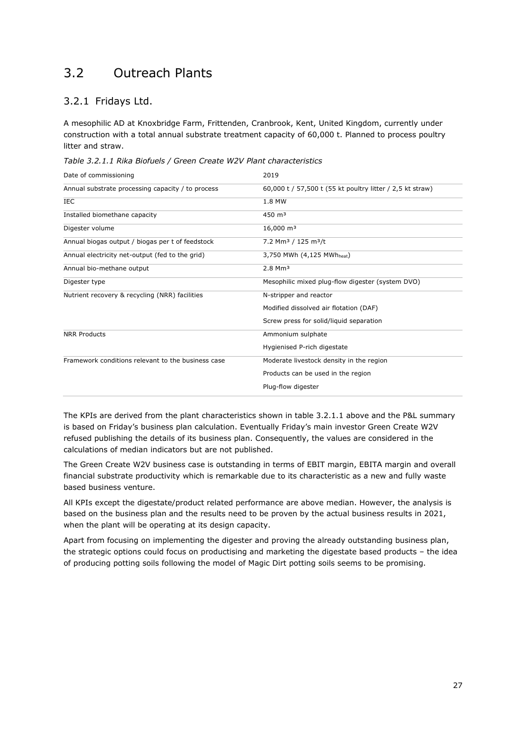### <span id="page-26-0"></span>3.2 Outreach Plants

#### <span id="page-26-1"></span>3.2.1 Fridays Ltd.

A mesophilic AD at Knoxbridge Farm, Frittenden, Cranbrook, Kent, United Kingdom, currently under construction with a total annual substrate treatment capacity of 60,000 t. Planned to process poultry litter and straw.

|  | Table 3.2.1.1 Rika Biofuels / Green Create W2V Plant characteristics |
|--|----------------------------------------------------------------------|
|--|----------------------------------------------------------------------|

| Date of commissioning                              | 2019                                                      |
|----------------------------------------------------|-----------------------------------------------------------|
| Annual substrate processing capacity / to process  | 60,000 t / 57,500 t (55 kt poultry litter / 2,5 kt straw) |
| IEC                                                | 1.8 MW                                                    |
| Installed biomethane capacity                      | $450 \; \text{m}^3$                                       |
| Digester volume                                    | $16,000 \text{ m}^3$                                      |
| Annual biogas output / biogas per t of feedstock   | 7.2 Mm <sup>3</sup> / 125 m <sup>3</sup> /t               |
| Annual electricity net-output (fed to the grid)    | 3,750 MWh (4,125 MWh <sub>heat</sub> )                    |
| Annual bio-methane output                          | $2.8$ Mm <sup>3</sup>                                     |
| Digester type                                      | Mesophilic mixed plug-flow digester (system DVO)          |
| Nutrient recovery & recycling (NRR) facilities     | N-stripper and reactor                                    |
|                                                    | Modified dissolved air flotation (DAF)                    |
|                                                    | Screw press for solid/liquid separation                   |
| <b>NRR Products</b>                                | Ammonium sulphate                                         |
|                                                    | Hygienised P-rich digestate                               |
| Framework conditions relevant to the business case | Moderate livestock density in the region                  |
|                                                    | Products can be used in the region                        |
|                                                    | Plug-flow digester                                        |
|                                                    |                                                           |

The KPIs are derived from the plant characteristics shown in table 3.2.1.1 above and the P&L summary is based on Friday's business plan calculation. Eventually Friday's main investor Green Create W2V refused publishing the details of its business plan. Consequently, the values are considered in the calculations of median indicators but are not published.

The Green Create W2V business case is outstanding in terms of EBIT margin, EBITA margin and overall financial substrate productivity which is remarkable due to its characteristic as a new and fully waste based business venture.

All KPIs except the digestate/product related performance are above median. However, the analysis is based on the business plan and the results need to be proven by the actual business results in 2021, when the plant will be operating at its design capacity.

Apart from focusing on implementing the digester and proving the already outstanding business plan, the strategic options could focus on productising and marketing the digestate based products – the idea of producing potting soils following the model of Magic Dirt potting soils seems to be promising.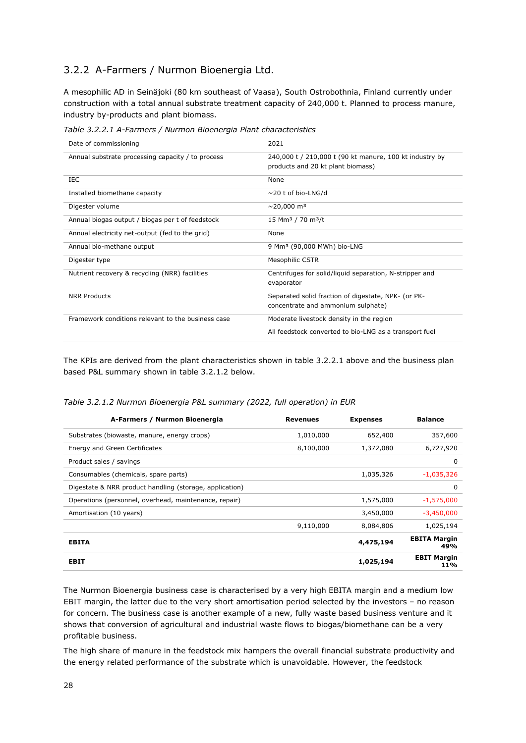#### <span id="page-27-0"></span>3.2.2 A-Farmers / Nurmon Bioenergia Ltd.

A mesophilic AD in Seinäjoki (80 km southeast of Vaasa), South Ostrobothnia, Finland currently under construction with a total annual substrate treatment capacity of 240,000 t. Planned to process manure, industry by-products and plant biomass.

*Table 3.2.2.1 A-Farmers / Nurmon Bioenergia Plant characteristics*

| Date of commissioning                              | 2021                                                                                         |
|----------------------------------------------------|----------------------------------------------------------------------------------------------|
| Annual substrate processing capacity / to process  | 240,000 t / 210,000 t (90 kt manure, 100 kt industry by<br>products and 20 kt plant biomass) |
| IEC                                                | None                                                                                         |
| Installed biomethane capacity                      | $\sim$ 20 t of bio-LNG/d                                                                     |
| Digester volume                                    | $\sim$ 20,000 m <sup>3</sup>                                                                 |
| Annual biogas output / biogas per t of feedstock   | 15 Mm <sup>3</sup> / 70 m <sup>3</sup> /t                                                    |
| Annual electricity net-output (fed to the grid)    | None                                                                                         |
| Annual bio-methane output                          | 9 Mm <sup>3</sup> (90,000 MWh) bio-LNG                                                       |
| Digester type                                      | <b>Mesophilic CSTR</b>                                                                       |
| Nutrient recovery & recycling (NRR) facilities     | Centrifuges for solid/liquid separation, N-stripper and<br>evaporator                        |
| <b>NRR Products</b>                                | Separated solid fraction of digestate, NPK- (or PK-<br>concentrate and ammonium sulphate)    |
| Framework conditions relevant to the business case | Moderate livestock density in the region                                                     |
|                                                    | All feedstock converted to bio-LNG as a transport fuel                                       |

The KPIs are derived from the plant characteristics shown in table 3.2.2.1 above and the business plan based P&L summary shown in table 3.2.1.2 below.

*Table 3.2.1.2 Nurmon Bioenergia P&L summary (2022, full operation) in EUR*

| A-Farmers / Nurmon Bioenergia                           | <b>Revenues</b> | <b>Expenses</b> | <b>Balance</b>             |
|---------------------------------------------------------|-----------------|-----------------|----------------------------|
| Substrates (biowaste, manure, energy crops)             | 1,010,000       | 652,400         | 357,600                    |
| Energy and Green Certificates                           | 8,100,000       | 1,372,080       | 6,727,920                  |
| Product sales / savings                                 |                 |                 | $\Omega$                   |
| Consumables (chemicals, spare parts)                    |                 | 1,035,326       | $-1,035,326$               |
| Digestate & NRR product handling (storage, application) |                 |                 | $\Omega$                   |
| Operations (personnel, overhead, maintenance, repair)   |                 | 1,575,000       | $-1,575,000$               |
| Amortisation (10 years)                                 |                 | 3,450,000       | $-3,450,000$               |
|                                                         | 9,110,000       | 8,084,806       | 1,025,194                  |
| <b>EBITA</b>                                            |                 | 4,475,194       | <b>EBITA Margin</b><br>49% |
| <b>EBIT</b>                                             |                 | 1,025,194       | <b>EBIT Margin</b><br>11%  |

The Nurmon Bioenergia business case is characterised by a very high EBITA margin and a medium low EBIT margin, the latter due to the very short amortisation period selected by the investors – no reason for concern. The business case is another example of a new, fully waste based business venture and it shows that conversion of agricultural and industrial waste flows to biogas/biomethane can be a very profitable business.

The high share of manure in the feedstock mix hampers the overall financial substrate productivity and the energy related performance of the substrate which is unavoidable. However, the feedstock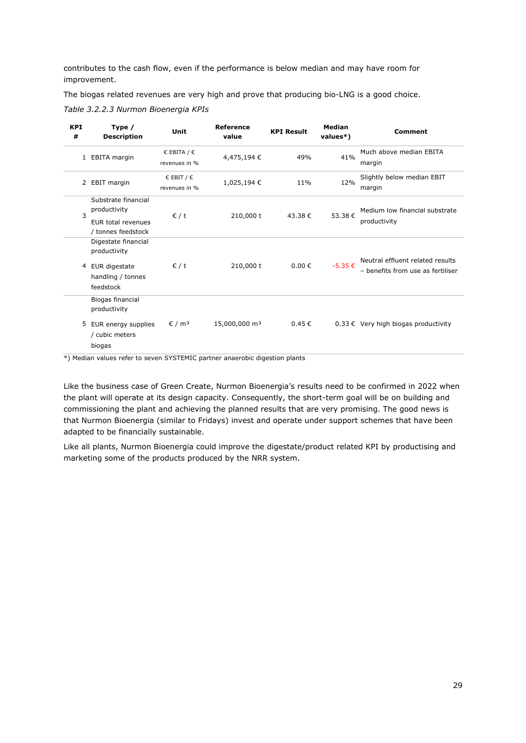contributes to the cash flow, even if the performance is below median and may have room for improvement.

The biogas related revenues are very high and prove that producing bio-LNG is a good choice. *Table 3.2.2.3 Nurmon Bioenergia KPIs*

| <b>KPI</b><br># | Type /<br><b>Description</b>                                                           | Unit                                          | <b>Reference</b><br>value | <b>KPI Result</b> | Median<br>values*) | <b>Comment</b>                                                        |
|-----------------|----------------------------------------------------------------------------------------|-----------------------------------------------|---------------------------|-------------------|--------------------|-----------------------------------------------------------------------|
|                 | 1 EBITA margin                                                                         | € EBITA / $∈$<br>revenues in %                | 4,475,194€                | 49%               | 41%                | Much above median EBITA<br>margin                                     |
|                 | 2 EBIT margin                                                                          | $\epsilon$ EBIT / $\epsilon$<br>revenues in % | 1,025,194€                | 11%               | 12%                | Slightly below median EBIT<br>margin                                  |
| 3               | Substrate financial<br>productivity<br>EUR total revenues<br>/ tonnes feedstock        | $\epsilon$ / t                                | 210,000 t                 | 43.38€            | 53.38€             | Medium low financial substrate<br>productivity                        |
| 4               | Digestate financial<br>productivity<br>EUR digestate<br>handling / tonnes<br>feedstock | $\epsilon$ / t                                | 210,000 t                 | $0.00 \in$        | $-5.35 \in$        | Neutral effluent related results<br>- benefits from use as fertiliser |
| 5               | Biogas financial<br>productivity<br>EUR energy supplies<br>/ cubic meters<br>biogas    | $\epsilon$ / m <sup>3</sup>                   | 15,000,000 m <sup>3</sup> | 0.45€             |                    | $0.33 \in$ Very high biogas productivity                              |

\*) Median values refer to seven SYSTEMIC partner anaerobic digestion plants

Like the business case of Green Create, Nurmon Bioenergia's results need to be confirmed in 2022 when the plant will operate at its design capacity. Consequently, the short-term goal will be on building and commissioning the plant and achieving the planned results that are very promising. The good news is that Nurmon Bioenergia (similar to Fridays) invest and operate under support schemes that have been adapted to be financially sustainable.

Like all plants, Nurmon Bioenergia could improve the digestate/product related KPI by productising and marketing some of the products produced by the NRR system.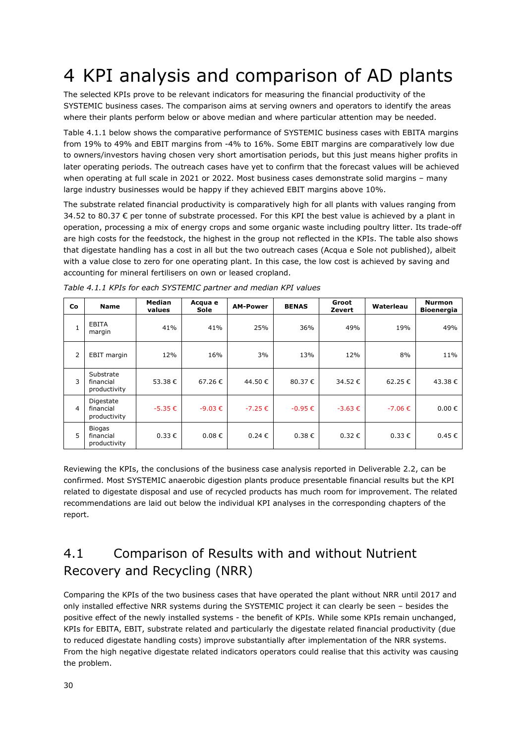## <span id="page-29-0"></span>4 KPI analysis and comparison of AD plants

The selected KPIs prove to be relevant indicators for measuring the financial productivity of the SYSTEMIC business cases. The comparison aims at serving owners and operators to identify the areas where their plants perform below or above median and where particular attention may be needed.

Table 4.1.1 below shows the comparative performance of SYSTEMIC business cases with EBITA margins from 19% to 49% and EBIT margins from -4% to 16%. Some EBIT margins are comparatively low due to owners/investors having chosen very short amortisation periods, but this just means higher profits in later operating periods. The outreach cases have yet to confirm that the forecast values will be achieved when operating at full scale in 2021 or 2022. Most business cases demonstrate solid margins – many large industry businesses would be happy if they achieved EBIT margins above 10%.

The substrate related financial productivity is comparatively high for all plants with values ranging from 34.52 to 80.37 € per tonne of substrate processed. For this KPI the best value is achieved by a plant in operation, processing a mix of energy crops and some organic waste including poultry litter. Its trade-off are high costs for the feedstock, the highest in the group not reflected in the KPIs. The table also shows that digestate handling has a cost in all but the two outreach cases (Acqua e Sole not published), albeit with a value close to zero for one operating plant. In this case, the low cost is achieved by saving and accounting for mineral fertilisers on own or leased cropland.

| Co             | <b>Name</b>                                | <b>Median</b><br>values | Acqua e<br>Sole | <b>AM-Power</b> | <b>BENAS</b> | Groot<br>Zevert | Waterleau   | <b>Nurmon</b><br><b>Bioenergia</b> |
|----------------|--------------------------------------------|-------------------------|-----------------|-----------------|--------------|-----------------|-------------|------------------------------------|
| $\mathbf{1}$   | <b>EBITA</b><br>margin                     | 41%                     | 41%             | 25%             | 36%          | 49%             | 19%         | 49%                                |
| $\overline{2}$ | EBIT margin                                | 12%                     | 16%             | 3%              | 13%          | 12%             | 8%          | 11%                                |
| 3              | Substrate<br>financial<br>productivity     | 53.38€                  | 67.26€          | 44.50€          | 80.37 €      | 34.52€          | 62.25€      | 43.38€                             |
| $\overline{4}$ | Digestate<br>financial<br>productivity     | $-5.35 \in$             | $-9.03 \in$     | $-7.25 \in$     | $-0.95 \in$  | $-3.63 \in$     | $-7.06 \in$ | $0.00 \in$                         |
| 5              | <b>Biogas</b><br>financial<br>productivity | $0.33 \in$              | $0.08 \in$      | $0.24 \in$      | $0.38 \in$   | $0.32 \in$      | $0.33 \in$  | $0.45 \in$                         |

*Table 4.1.1 KPIs for each SYSTEMIC partner and median KPI values*

Reviewing the KPIs, the conclusions of the business case analysis reported in Deliverable 2.2, can be confirmed. Most SYSTEMIC anaerobic digestion plants produce presentable financial results but the KPI related to digestate disposal and use of recycled products has much room for improvement. The related recommendations are laid out below the individual KPI analyses in the corresponding chapters of the report.

### <span id="page-29-1"></span>4.1 Comparison of Results with and without Nutrient Recovery and Recycling (NRR)

Comparing the KPIs of the two business cases that have operated the plant without NRR until 2017 and only installed effective NRR systems during the SYSTEMIC project it can clearly be seen – besides the positive effect of the newly installed systems - the benefit of KPIs. While some KPIs remain unchanged, KPIs for EBITA, EBIT, substrate related and particularly the digestate related financial productivity (due to reduced digestate handling costs) improve substantially after implementation of the NRR systems. From the high negative digestate related indicators operators could realise that this activity was causing the problem.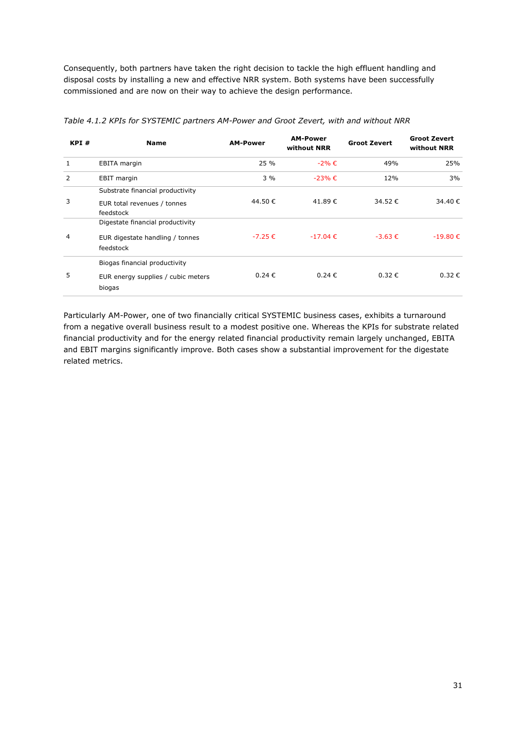Consequently, both partners have taken the right decision to tackle the high effluent handling and disposal costs by installing a new and effective NRR system. Both systems have been successfully commissioned and are now on their way to achieve the design performance.

| KPI# | <b>Name</b>                                                                      | <b>AM-Power</b> | <b>AM-Power</b><br>without NRR | <b>Groot Zevert</b> | <b>Groot Zevert</b><br>without NRR |
|------|----------------------------------------------------------------------------------|-----------------|--------------------------------|---------------------|------------------------------------|
| 1    | <b>EBITA</b> margin                                                              | 25 %            | $-2\% \in$                     | 49%                 | 25%                                |
| 2    | <b>EBIT</b> margin                                                               | $3\%$           | $-23%$ €                       | 12%                 | 3%                                 |
| 3    | Substrate financial productivity<br>EUR total revenues / tonnes<br>feedstock     | 44.50€          | 41.89€                         | 34.52€              | 34.40 €                            |
| 4    | Digestate financial productivity<br>EUR digestate handling / tonnes<br>feedstock | $-7.25 \in$     | $-17.04 \in$                   | $-3.63 \in$         | $-19.80€$                          |
| 5    | Biogas financial productivity<br>EUR energy supplies / cubic meters<br>biogas    | $0.24 \in$      | 0.24€                          | $0.32 \in$          | $0.32 \in$                         |

*Table 4.1.2 KPIs for SYSTEMIC partners AM-Power and Groot Zevert, with and without NRR*

Particularly AM-Power, one of two financially critical SYSTEMIC business cases, exhibits a turnaround from a negative overall business result to a modest positive one. Whereas the KPIs for substrate related financial productivity and for the energy related financial productivity remain largely unchanged, EBITA and EBIT margins significantly improve. Both cases show a substantial improvement for the digestate related metrics.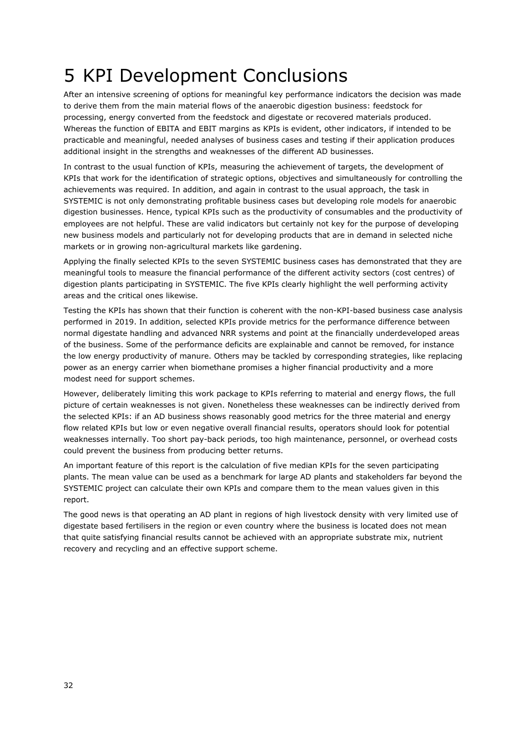# <span id="page-31-0"></span>5 KPI Development Conclusions

After an intensive screening of options for meaningful key performance indicators the decision was made to derive them from the main material flows of the anaerobic digestion business: feedstock for processing, energy converted from the feedstock and digestate or recovered materials produced. Whereas the function of EBITA and EBIT margins as KPIs is evident, other indicators, if intended to be practicable and meaningful, needed analyses of business cases and testing if their application produces additional insight in the strengths and weaknesses of the different AD businesses.

In contrast to the usual function of KPIs, measuring the achievement of targets, the development of KPIs that work for the identification of strategic options, objectives and simultaneously for controlling the achievements was required. In addition, and again in contrast to the usual approach, the task in SYSTEMIC is not only demonstrating profitable business cases but developing role models for anaerobic digestion businesses. Hence, typical KPIs such as the productivity of consumables and the productivity of employees are not helpful. These are valid indicators but certainly not key for the purpose of developing new business models and particularly not for developing products that are in demand in selected niche markets or in growing non-agricultural markets like gardening.

Applying the finally selected KPIs to the seven SYSTEMIC business cases has demonstrated that they are meaningful tools to measure the financial performance of the different activity sectors (cost centres) of digestion plants participating in SYSTEMIC. The five KPIs clearly highlight the well performing activity areas and the critical ones likewise.

Testing the KPIs has shown that their function is coherent with the non-KPI-based business case analysis performed in 2019. In addition, selected KPIs provide metrics for the performance difference between normal digestate handling and advanced NRR systems and point at the financially underdeveloped areas of the business. Some of the performance deficits are explainable and cannot be removed, for instance the low energy productivity of manure. Others may be tackled by corresponding strategies, like replacing power as an energy carrier when biomethane promises a higher financial productivity and a more modest need for support schemes.

However, deliberately limiting this work package to KPIs referring to material and energy flows, the full picture of certain weaknesses is not given. Nonetheless these weaknesses can be indirectly derived from the selected KPIs: if an AD business shows reasonably good metrics for the three material and energy flow related KPIs but low or even negative overall financial results, operators should look for potential weaknesses internally. Too short pay-back periods, too high maintenance, personnel, or overhead costs could prevent the business from producing better returns.

An important feature of this report is the calculation of five median KPIs for the seven participating plants. The mean value can be used as a benchmark for large AD plants and stakeholders far beyond the SYSTEMIC project can calculate their own KPIs and compare them to the mean values given in this report.

The good news is that operating an AD plant in regions of high livestock density with very limited use of digestate based fertilisers in the region or even country where the business is located does not mean that quite satisfying financial results cannot be achieved with an appropriate substrate mix, nutrient recovery and recycling and an effective support scheme.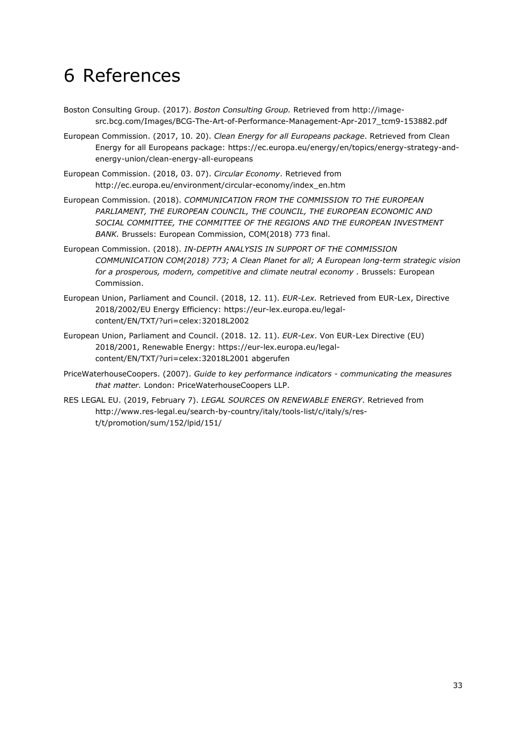## <span id="page-32-0"></span>6 References

- Boston Consulting Group. (2017). *Boston Consulting Group.* Retrieved from http://imagesrc.bcg.com/Images/BCG-The-Art-of-Performance-Management-Apr-2017\_tcm9-153882.pdf
- European Commission. (2017, 10. 20). *Clean Energy for all Europeans package*. Retrieved from Clean Energy for all Europeans package: https://ec.europa.eu/energy/en/topics/energy-strategy-andenergy-union/clean-energy-all-europeans
- European Commission. (2018, 03. 07). *Circular Economy*. Retrieved from http://ec.europa.eu/environment/circular-economy/index\_en.htm
- European Commission. (2018). *COMMUNICATION FROM THE COMMISSION TO THE EUROPEAN*  PARLIAMENT, THE EUROPEAN COUNCIL, THE COUNCIL, THE EUROPEAN ECONOMIC AND *SOCIAL COMMITTEE, THE COMMITTEE OF THE REGIONS AND THE EUROPEAN INVESTMENT BANK.* Brussels: European Commission, COM(2018) 773 final.
- European Commission. (2018). *IN-DEPTH ANALYSIS IN SUPPORT OF THE COMMISSION COMMUNICATION COM(2018) 773; A Clean Planet for all; A European long-term strategic vision for a prosperous, modern, competitive and climate neutral economy .* Brussels: European Commission.
- European Union, Parliament and Council. (2018, 12. 11). *EUR-Lex.* Retrieved from EUR-Lex, Directive 2018/2002/EU Energy Efficiency: https://eur-lex.europa.eu/legalcontent/EN/TXT/?uri=celex:32018L2002
- European Union, Parliament and Council. (2018. 12. 11). *EUR-Lex*. Von EUR-Lex Directive (EU) 2018/2001, Renewable Energy: https://eur-lex.europa.eu/legalcontent/EN/TXT/?uri=celex:32018L2001 abgerufen
- PriceWaterhouseCoopers. (2007). *Guide to key performance indicators - communicating the measures that matter.* London: PriceWaterhouseCoopers LLP.
- RES LEGAL EU. (2019, February 7). *LEGAL SOURCES ON RENEWABLE ENERGY*. Retrieved from http://www.res-legal.eu/search-by-country/italy/tools-list/c/italy/s/rest/t/promotion/sum/152/lpid/151/